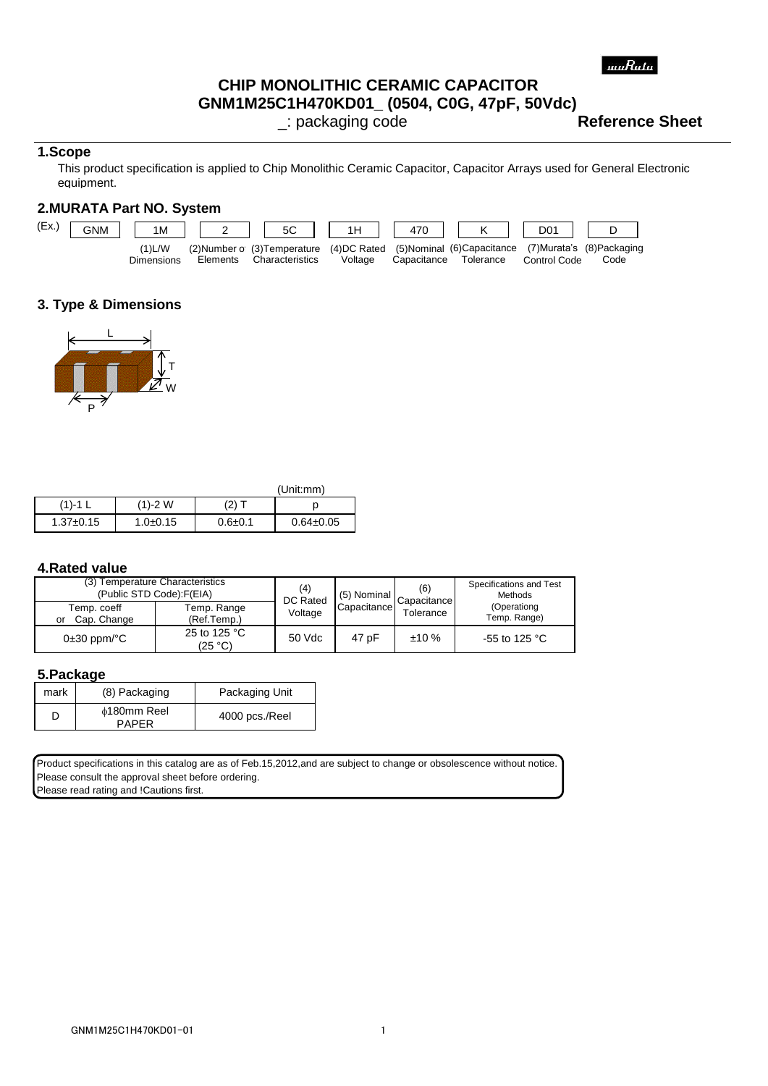# **CHIP MONOLITHIC CERAMIC CAPACITOR**

**GNM1M25C1H470KD01\_ (0504, C0G, 47pF, 50Vdc)**

\_: packaging code **Reference Sheet**

#### **1.Scope**

 equipment. This product specification is applied to Chip Monolithic Ceramic Capacitor, Capacitor Arrays used for General Electronic

# **2.MURATA Part NO. System**



## **3. Type & Dimensions**



|                 |                |               | (Unit:mm)       |
|-----------------|----------------|---------------|-----------------|
| $(1) - 1$ L     | $(1) - 2$ W    | (2) T         |                 |
| $1.37 \pm 0.15$ | $1.0{\pm}0.15$ | $0.6 \pm 0.1$ | $0.64 \pm 0.05$ |

#### **4.Rated value**

| (3) Temperature Characteristics<br>(Public STD Code): F(EIA) |                            | (4)<br>DC Rated | (5) Nominal | (6)<br>Capacitance | Specifications and Test<br><b>Methods</b> |
|--------------------------------------------------------------|----------------------------|-----------------|-------------|--------------------|-------------------------------------------|
| Temp. coeff<br>Cap. Change<br>or                             | Temp. Range<br>(Ref.Temp.) | Voltage         | Capacitance | Tolerance          | (Operationg<br>Temp. Range)               |
| $0\pm 30$ ppm/ $^{\circ}$ C                                  | 25 to 125 °C<br>(25 °C)    | 50 Vdc          | 47 pF       | ±10%               | -55 to 125 °C                             |

#### **5.Package**

| mark | (8) Packaging                      | Packaging Unit |
|------|------------------------------------|----------------|
|      | <b>¢180mm Reel</b><br><b>PAPFR</b> | 4000 pcs./Reel |

Product specifications in this catalog are as of Feb.15,2012,and are subject to change or obsolescence without notice. Please consult the approval sheet before ordering. Please read rating and **!Cautions first.**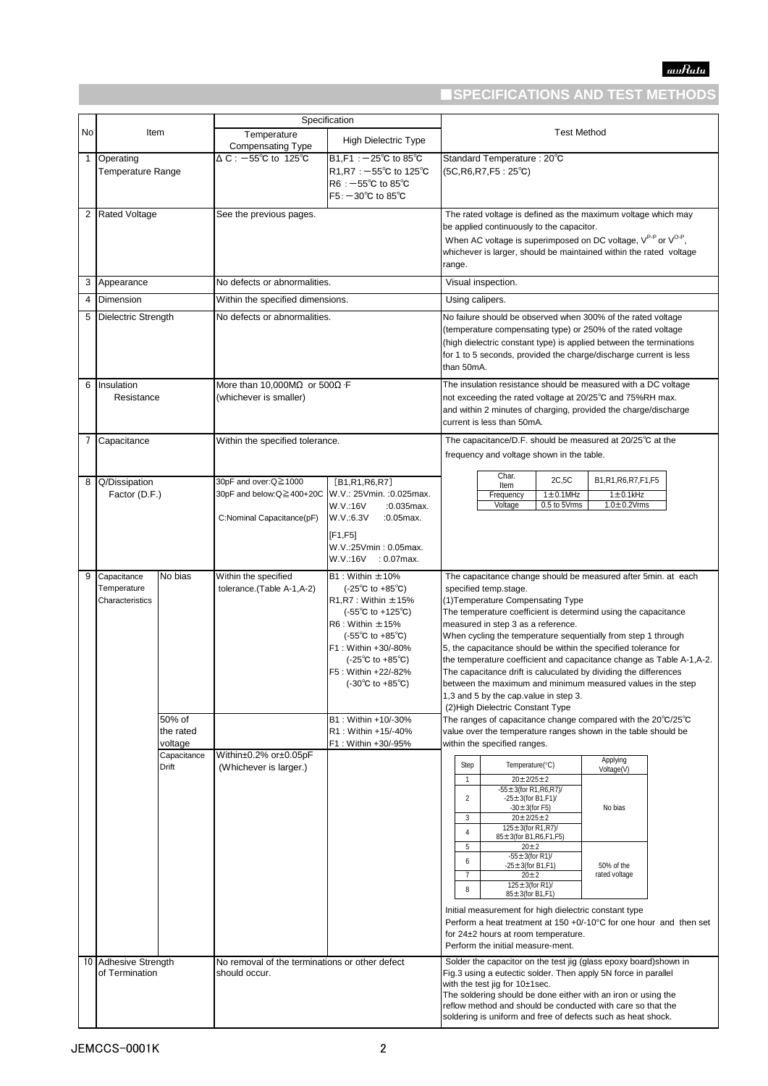# ■**SPECIFICATIONS AND TEST METHODS**

|              |                                               |                                |                                                                               | Specification                                                                                                                                                                                                                                                                                                                                          |                                                                                                                                                                                                                                                                                                                                                                                                                                                                                                                                                                                                                                                                   |
|--------------|-----------------------------------------------|--------------------------------|-------------------------------------------------------------------------------|--------------------------------------------------------------------------------------------------------------------------------------------------------------------------------------------------------------------------------------------------------------------------------------------------------------------------------------------------------|-------------------------------------------------------------------------------------------------------------------------------------------------------------------------------------------------------------------------------------------------------------------------------------------------------------------------------------------------------------------------------------------------------------------------------------------------------------------------------------------------------------------------------------------------------------------------------------------------------------------------------------------------------------------|
| No           | Item                                          |                                | Temperature<br>Compensating Type                                              | <b>High Dielectric Type</b>                                                                                                                                                                                                                                                                                                                            | <b>Test Method</b>                                                                                                                                                                                                                                                                                                                                                                                                                                                                                                                                                                                                                                                |
| $\mathbf{1}$ | Operating<br>Temperature Range                |                                | $\triangle C$ : -55°C to 125°C                                                | $B1.F1: -25^{\circ}C$ to $85^{\circ}C$<br>R1, R7 : $-55^{\circ}$ C to 125 $^{\circ}$ C<br>$R6: -55^{\circ}$ C to 85 $^{\circ}$ C<br>$F5: -30^{\circ}$ C to 85 $^{\circ}$ C                                                                                                                                                                             | Standard Temperature: 20°C<br>$(5C, R6, R7, F5: 25^{\circ}C)$                                                                                                                                                                                                                                                                                                                                                                                                                                                                                                                                                                                                     |
| 2            | <b>Rated Voltage</b>                          |                                | See the previous pages.                                                       |                                                                                                                                                                                                                                                                                                                                                        | The rated voltage is defined as the maximum voltage which may<br>be applied continuously to the capacitor.<br>When AC voltage is superimposed on DC voltage, V <sup>P-P</sup> or V <sup>O-P</sup> ,<br>whichever is larger, should be maintained within the rated voltage<br>range.                                                                                                                                                                                                                                                                                                                                                                               |
| 3            | Appearance                                    |                                | No defects or abnormalities.                                                  |                                                                                                                                                                                                                                                                                                                                                        | Visual inspection.                                                                                                                                                                                                                                                                                                                                                                                                                                                                                                                                                                                                                                                |
| 4            | Dimension                                     |                                | Within the specified dimensions.                                              |                                                                                                                                                                                                                                                                                                                                                        | Using calipers.                                                                                                                                                                                                                                                                                                                                                                                                                                                                                                                                                                                                                                                   |
| 5            | <b>Dielectric Strength</b>                    |                                | No defects or abnormalities.                                                  |                                                                                                                                                                                                                                                                                                                                                        | No failure should be observed when 300% of the rated voltage<br>(temperature compensating type) or 250% of the rated voltage<br>(high dielectric constant type) is applied between the terminations<br>for 1 to 5 seconds, provided the charge/discharge current is less<br>than 50mA.                                                                                                                                                                                                                                                                                                                                                                            |
| 6            | Insulation<br>Resistance                      |                                | More than 10,000M $\Omega$ or 500 $\Omega$ · F<br>(whichever is smaller)      |                                                                                                                                                                                                                                                                                                                                                        | The insulation resistance should be measured with a DC voltage<br>not exceeding the rated voltage at 20/25°C and 75%RH max.<br>and within 2 minutes of charging, provided the charge/discharge<br>current is less than 50mA.                                                                                                                                                                                                                                                                                                                                                                                                                                      |
| 7            | Capacitance                                   |                                | Within the specified tolerance.                                               |                                                                                                                                                                                                                                                                                                                                                        | The capacitance/D.F. should be measured at 20/25°C at the<br>frequency and voltage shown in the table.                                                                                                                                                                                                                                                                                                                                                                                                                                                                                                                                                            |
| 8            | Q/Dissipation<br>Factor (D.F.)                |                                | 30pF and over:Q≧1000<br>30pF and below:Q≧400+20C<br>C:Nominal Capacitance(pF) | [B1,R1,R6,R7]<br>W.V.: 25Vmin. : 0.025max.<br>W.V.:16V<br>$:0.035$ max.<br>W.V.:6.3V<br>:0.05max.<br>[F1,F5]                                                                                                                                                                                                                                           | Char.<br>2C, 5C<br>B1,R1,R6,R7,F1,F5<br>Item<br>$1 \pm 0.1$ MHz<br>$1 \pm 0.1$ kHz<br>Frequency<br>0.5 to 5Vrms<br>$1.0 \pm 0.2$ Vrms<br>Voltage                                                                                                                                                                                                                                                                                                                                                                                                                                                                                                                  |
|              |                                               |                                |                                                                               | W.V.:25Vmin: 0.05max.<br>W.V.:16V<br>$: 0.07$ max.                                                                                                                                                                                                                                                                                                     |                                                                                                                                                                                                                                                                                                                                                                                                                                                                                                                                                                                                                                                                   |
| 9            | Capacitance<br>Temperature<br>Characteristics | No bias                        | Within the specified<br>tolerance.(Table A-1,A-2)                             | $B1:$ Within $\pm 10\%$<br>$(-25^{\circ}$ C to $+85^{\circ}$ C)<br>$R1, R7$ : Within $\pm 15%$<br>$(-55^{\circ}C \text{ to } +125^{\circ}C)$<br>$R6:$ Within $\pm 15%$<br>$(-55^{\circ}$ C to $+85^{\circ}$ C)<br>F1: Within +30/-80%<br>$(-25^{\circ}C \text{ to } +85^{\circ}C)$<br>F5: Within +22/-82%<br>$(-30^{\circ}C \text{ to } +85^{\circ}C)$ | The capacitance change should be measured after 5min. at each<br>specified temp.stage.<br>(1) Temperature Compensating Type<br>The temperature coefficient is determind using the capacitance<br>measured in step 3 as a reference.<br>When cycling the temperature sequentially from step 1 through<br>5, the capacitance should be within the specified tolerance for<br>the temperature coefficient and capacitance change as Table A-1, A-2.<br>The capacitance drift is caluculated by dividing the differences<br>between the maximum and minimum measured values in the step<br>1,3 and 5 by the cap.value in step 3.<br>(2) High Dielectric Constant Type |
|              |                                               | 50% of<br>the rated<br>voltage |                                                                               | B1: Within +10/-30%<br>R1: Within +15/-40%<br>F1: Within +30/-95%                                                                                                                                                                                                                                                                                      | The ranges of capacitance change compared with the $20^{\circ}$ C/25 $^{\circ}$ C<br>value over the temperature ranges shown in the table should be<br>within the specified ranges.                                                                                                                                                                                                                                                                                                                                                                                                                                                                               |
|              |                                               | Capacitance<br>Drift           | Within±0.2% or±0.05pF<br>(Whichever is larger.)                               |                                                                                                                                                                                                                                                                                                                                                        | Applying<br>Step<br>Temperature(°C)<br>Voltage(V)<br>$20 \pm 2/25 \pm 2$<br>$\mathbf{1}$<br>$-55 \pm 3$ (for R1, R6, R7)/<br>$-25 \pm 3$ (for B1,F1)/<br>2<br>$-30 \pm 3$ (for F5)<br>No bias<br>$20 \pm 2/25 \pm 2$<br>3<br>125±3(for R1,R7)/<br>$\overline{4}$<br>85±3(for B1, R6, F1, F5)                                                                                                                                                                                                                                                                                                                                                                      |
|              |                                               |                                |                                                                               |                                                                                                                                                                                                                                                                                                                                                        | 5<br>$20 \pm 2$<br>$-55 \pm 3$ (for R1)/<br>6<br>$-25 \pm 3$ (for B1,F1)<br>50% of the<br>$20 \pm 2$<br>rated voltage<br>7<br>125 $\pm$ 3(for R1)/<br>8<br>$85 \pm 3$ (for B1, F1)                                                                                                                                                                                                                                                                                                                                                                                                                                                                                |
|              |                                               |                                |                                                                               |                                                                                                                                                                                                                                                                                                                                                        | Initial measurement for high dielectric constant type<br>Perform a heat treatment at $150 + 0/-10^{\circ}$ C for one hour and then set<br>for 24±2 hours at room temperature.<br>Perform the initial measure-ment.                                                                                                                                                                                                                                                                                                                                                                                                                                                |
|              | 10 Adhesive Strength<br>of Termination        |                                | No removal of the terminations or other defect<br>should occur.               |                                                                                                                                                                                                                                                                                                                                                        | Solder the capacitor on the test jig (glass epoxy board) shown in<br>Fig.3 using a eutectic solder. Then apply 5N force in parallel<br>with the test jig for 10±1sec.<br>The soldering should be done either with an iron or using the<br>reflow method and should be conducted with care so that the<br>soldering is uniform and free of defects such as heat shock.                                                                                                                                                                                                                                                                                             |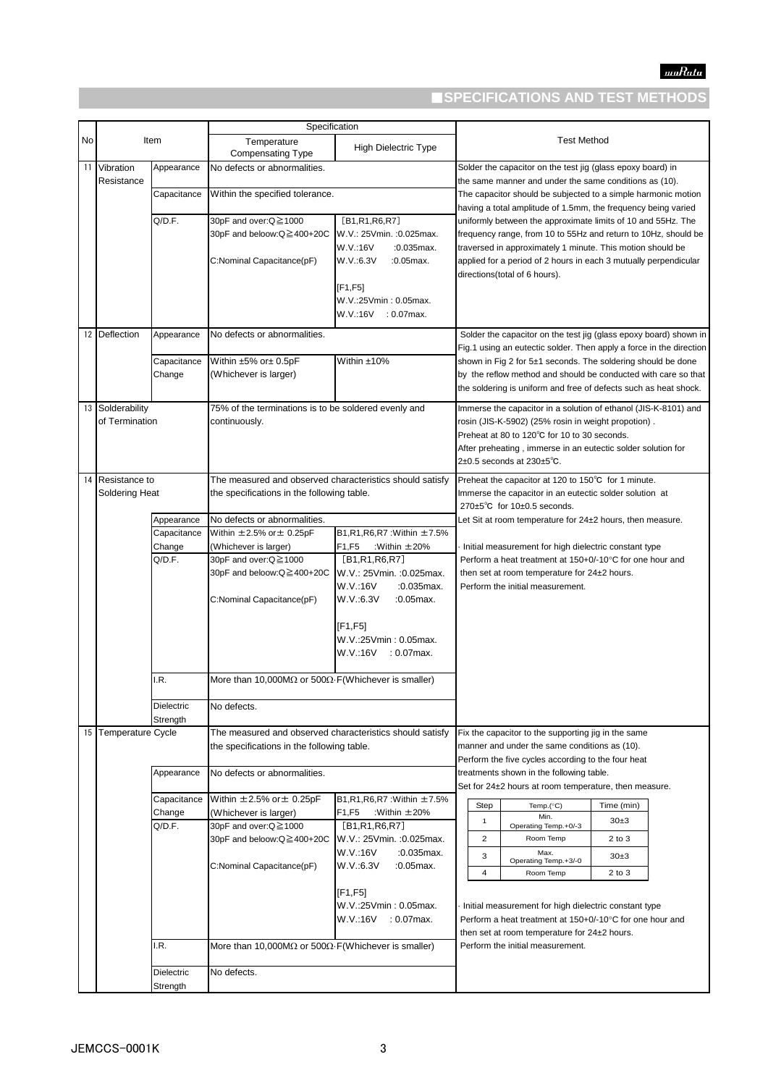# ■**SPECIFICATIONS AND TEST METHODS**

|    |                         |                           | Specification                                                        |                                                                                     |                                                                                                                                                                                                  |  |
|----|-------------------------|---------------------------|----------------------------------------------------------------------|-------------------------------------------------------------------------------------|--------------------------------------------------------------------------------------------------------------------------------------------------------------------------------------------------|--|
| No |                         | Item                      | Temperature<br><b>Compensating Type</b>                              | <b>High Dielectric Type</b>                                                         | <b>Test Method</b>                                                                                                                                                                               |  |
| 11 | Vibration<br>Resistance | Appearance                | No defects or abnormalities.                                         |                                                                                     | Solder the capacitor on the test jig (glass epoxy board) in<br>the same manner and under the same conditions as (10).                                                                            |  |
|    |                         | Capacitance               | Within the specified tolerance.                                      |                                                                                     | The capacitor should be subjected to a simple harmonic motion<br>having a total amplitude of 1.5mm, the frequency being varied                                                                   |  |
|    |                         | Q/D.F.                    | 30pF and over:Q≧1000                                                 | [B1,R1,R6,R7]                                                                       | uniformly between the approximate limits of 10 and 55Hz. The                                                                                                                                     |  |
|    |                         |                           | 30pF and beloow:Q≧400+20C<br>C:Nominal Capacitance(pF)               | W.V.: 25Vmin. : 0.025max.<br>W.V.:16V<br>$:0.035$ max.<br>W.V.:6.3V<br>$:0.05$ max. | frequency range, from 10 to 55Hz and return to 10Hz, should be<br>traversed in approximately 1 minute. This motion should be<br>applied for a period of 2 hours in each 3 mutually perpendicular |  |
|    |                         |                           |                                                                      | [F1, F5]                                                                            | directions(total of 6 hours).                                                                                                                                                                    |  |
|    |                         |                           |                                                                      | W.V.:25Vmin: 0.05max.<br>W.V.:16V : 0.07max.                                        |                                                                                                                                                                                                  |  |
|    | 12 Deflection           | Appearance                | No defects or abnormalities.                                         |                                                                                     | Solder the capacitor on the test jig (glass epoxy board) shown in<br>Fig.1 using an eutectic solder. Then apply a force in the direction                                                         |  |
|    |                         | Capacitance               | Within ±5% or± 0.5pF                                                 | Within ±10%                                                                         | shown in Fig 2 for 5±1 seconds. The soldering should be done                                                                                                                                     |  |
|    |                         | Change                    | (Whichever is larger)                                                |                                                                                     | by the reflow method and should be conducted with care so that<br>the soldering is uniform and free of defects such as heat shock.                                                               |  |
|    | 13 Solderability        |                           | 75% of the terminations is to be soldered evenly and                 |                                                                                     | Immerse the capacitor in a solution of ethanol (JIS-K-8101) and                                                                                                                                  |  |
|    | of Termination          |                           | continuously.                                                        |                                                                                     | rosin (JIS-K-5902) (25% rosin in weight propotion).                                                                                                                                              |  |
|    |                         |                           |                                                                      |                                                                                     | Preheat at 80 to 120°C for 10 to 30 seconds.                                                                                                                                                     |  |
|    |                         |                           |                                                                      |                                                                                     | After preheating, immerse in an eutectic solder solution for                                                                                                                                     |  |
|    |                         |                           |                                                                      |                                                                                     | $2\pm0.5$ seconds at $230\pm5^{\circ}$ C.                                                                                                                                                        |  |
|    | 14 Resistance to        |                           | The measured and observed characteristics should satisfy             |                                                                                     | Preheat the capacitor at 120 to 150°C for 1 minute.                                                                                                                                              |  |
|    | Soldering Heat          |                           | the specifications in the following table.                           |                                                                                     | Immerse the capacitor in an eutectic solder solution at                                                                                                                                          |  |
|    |                         |                           |                                                                      |                                                                                     | 270 $\pm$ 5°C for 10 $\pm$ 0.5 seconds.                                                                                                                                                          |  |
|    |                         | Appearance<br>Capacitance | No defects or abnormalities.<br>Within $\pm 2.5\%$ or $\pm 0.25$ pF  | B1, R1, R6, R7 : Within ±7.5%                                                       | Let Sit at room temperature for 24±2 hours, then measure.                                                                                                                                        |  |
|    |                         | Change                    | (Whichever is larger)                                                | :Within $\pm 20%$<br>F1,F5                                                          | Initial measurement for high dielectric constant type                                                                                                                                            |  |
|    |                         | Q/D.F.                    | 30pF and over:Q≧1000                                                 | [B1,R1,R6,R7]                                                                       | Perform a heat treatment at 150+0/-10°C for one hour and                                                                                                                                         |  |
|    |                         |                           | 30pF and beloow:Q≧400+20C                                            | W.V.: 25Vmin. : 0.025max.                                                           | then set at room temperature for 24±2 hours.                                                                                                                                                     |  |
|    |                         |                           |                                                                      | W.V.:16V<br>$:0.035$ max.                                                           | Perform the initial measurement.                                                                                                                                                                 |  |
|    |                         |                           | C:Nominal Capacitance(pF)                                            | W.V.:6.3V<br>$:0.05$ max.                                                           |                                                                                                                                                                                                  |  |
|    |                         |                           |                                                                      |                                                                                     |                                                                                                                                                                                                  |  |
|    |                         |                           |                                                                      | [F1,F5]                                                                             |                                                                                                                                                                                                  |  |
|    |                         |                           |                                                                      | W.V.:25Vmin : 0.05max.<br>W.V.:16V : 0.07max.                                       |                                                                                                                                                                                                  |  |
|    |                         |                           |                                                                      |                                                                                     |                                                                                                                                                                                                  |  |
|    |                         | I.R.                      | More than 10,000M $\Omega$ or 500 $\Omega$ . F(Whichever is smaller) |                                                                                     |                                                                                                                                                                                                  |  |
|    |                         | Dielectric<br>Strength    | No defects.                                                          |                                                                                     |                                                                                                                                                                                                  |  |
|    | 15 Temperature Cycle    |                           | The measured and observed characteristics should satisfy             |                                                                                     | Fix the capacitor to the supporting jig in the same                                                                                                                                              |  |
|    |                         |                           | the specifications in the following table.                           |                                                                                     | manner and under the same conditions as (10).                                                                                                                                                    |  |
|    |                         | Appearance                | No defects or abnormalities.                                         |                                                                                     | Perform the five cycles according to the four heat<br>treatments shown in the following table.                                                                                                   |  |
|    |                         |                           |                                                                      |                                                                                     | Set for 24±2 hours at room temperature, then measure.                                                                                                                                            |  |
|    |                         | Capacitance               | Within $\pm 2.5\%$ or $\pm 0.25$ pF                                  | B1, R1, R6, R7 : Within ±7.5%                                                       |                                                                                                                                                                                                  |  |
|    |                         | Change                    | (Whichever is larger)                                                | F1,F5<br>:Within $\pm 20%$                                                          | Step<br>Temp.(°C)<br>Time (min)<br>Min.                                                                                                                                                          |  |
|    |                         | Q/D.F.                    | 30pF and over:Q≧1000                                                 | [B1,R1,R6,R7]                                                                       | $\mathbf{1}$<br>30±3<br>Operating Temp.+0/-3                                                                                                                                                     |  |
|    |                         |                           | 30pF and beloow:Q≧400+20C                                            | W.V.: 25Vmin. : 0.025max.                                                           | $\overline{2}$<br>Room Temp<br>$2$ to $3$                                                                                                                                                        |  |
|    |                         |                           |                                                                      | W.V.:16V<br>:0.035max.                                                              | Max.<br>3<br>$30+3$<br>Operating Temp.+3/-0                                                                                                                                                      |  |
|    |                         |                           | C:Nominal Capacitance(pF)                                            | W.V.:6.3V<br>$.0.05$ max.                                                           | $\overline{4}$<br>Room Temp<br>$2$ to $3$                                                                                                                                                        |  |
|    |                         |                           |                                                                      | [F1,F5]                                                                             |                                                                                                                                                                                                  |  |
|    |                         |                           |                                                                      | W.V.:25Vmin: 0.05max.                                                               | Initial measurement for high dielectric constant type                                                                                                                                            |  |
|    |                         |                           |                                                                      | W.V.:16V<br>: 0.07max.                                                              | Perform a heat treatment at 150+0/-10°C for one hour and                                                                                                                                         |  |
|    |                         |                           |                                                                      |                                                                                     | then set at room temperature for 24±2 hours.                                                                                                                                                     |  |
|    |                         | I.R.                      | More than 10,000M $\Omega$ or 500 $\Omega$ . F(Whichever is smaller) |                                                                                     | Perform the initial measurement.                                                                                                                                                                 |  |
|    |                         | Dielectric                | No defects.                                                          |                                                                                     |                                                                                                                                                                                                  |  |
|    |                         | Strength                  |                                                                      |                                                                                     |                                                                                                                                                                                                  |  |
|    |                         |                           |                                                                      |                                                                                     |                                                                                                                                                                                                  |  |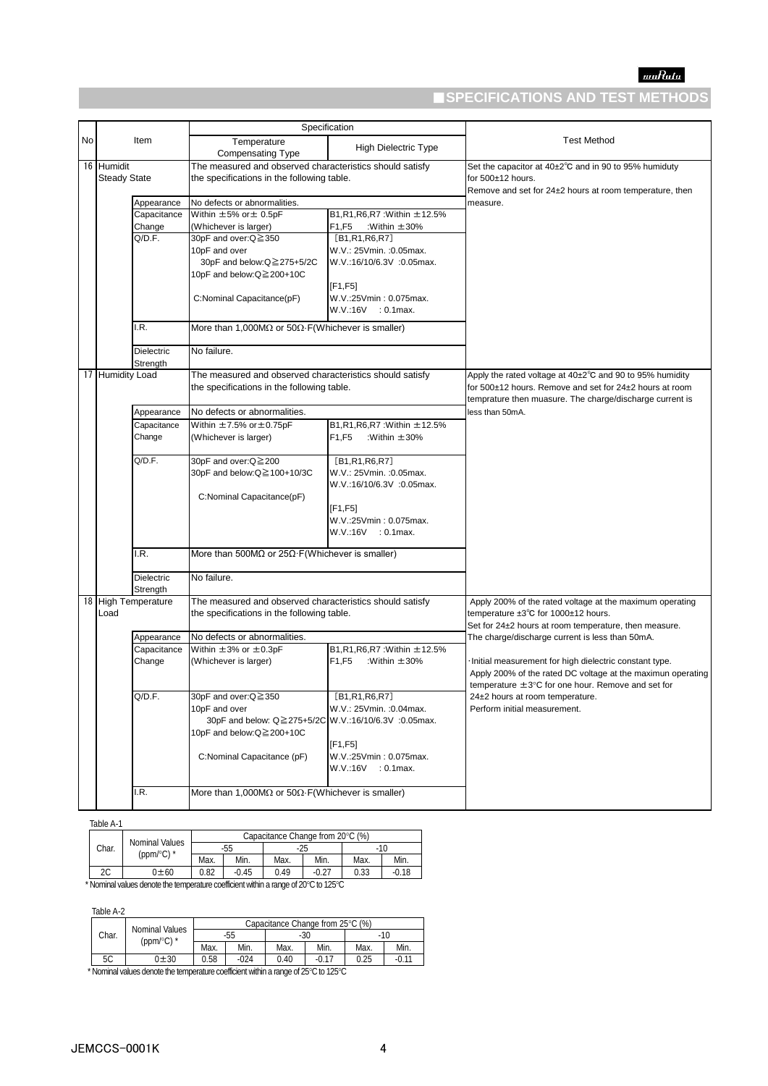# ■**SPECIFICATIONS AND TEST METHODS**

|  |                                   |                                                          | Specification                                                                                          |                                                         |                                                                                                                                       |  |
|--|-----------------------------------|----------------------------------------------------------|--------------------------------------------------------------------------------------------------------|---------------------------------------------------------|---------------------------------------------------------------------------------------------------------------------------------------|--|
|  | <b>No</b><br>Item                 |                                                          | Temperature                                                                                            | <b>High Dielectric Type</b>                             | <b>Test Method</b>                                                                                                                    |  |
|  |                                   |                                                          | <b>Compensating Type</b>                                                                               |                                                         |                                                                                                                                       |  |
|  | 16 Humidit<br><b>Steady State</b> |                                                          | The measured and observed characteristics should satisfy<br>the specifications in the following table. |                                                         | Set the capacitor at 40±2°C and in 90 to 95% humiduty<br>for 500±12 hours.<br>Remove and set for 24±2 hours at room temperature, then |  |
|  | Appearance                        |                                                          | No defects or abnormalities.                                                                           |                                                         | measure.                                                                                                                              |  |
|  |                                   | Capacitance                                              | Within ±5% or ± 0.5pF                                                                                  | B1, R1, R6, R7 : Within ±12.5%                          |                                                                                                                                       |  |
|  |                                   | Change                                                   | (Whichever is larger)                                                                                  | F1,F5<br>:Within $\pm 30\%$                             |                                                                                                                                       |  |
|  |                                   | Q/D.F.                                                   | 30pF and over:Q≧350                                                                                    | [B1,R1,R6,R7]                                           |                                                                                                                                       |  |
|  |                                   |                                                          | 10pF and over                                                                                          | W.V.: 25Vmin. : 0.05max.                                |                                                                                                                                       |  |
|  |                                   |                                                          | 30pF and below:Q≧275+5/2C                                                                              | W.V.:16/10/6.3V :0.05max.                               |                                                                                                                                       |  |
|  |                                   |                                                          | 10pF and below:Q≧200+10C                                                                               |                                                         |                                                                                                                                       |  |
|  |                                   |                                                          | C:Nominal Capacitance(pF)                                                                              | [F1,F5]<br>W.V.:25Vmin: 0.075max.<br>W.V.:16V : 0.1max. |                                                                                                                                       |  |
|  |                                   | I.R.                                                     | More than 1,000M $\Omega$ or 50 $\Omega$ -F(Whichever is smaller)                                      |                                                         |                                                                                                                                       |  |
|  |                                   | <b>Dielectric</b><br>Strength                            | No failure.                                                                                            |                                                         |                                                                                                                                       |  |
|  | 17 Humidity Load                  | The measured and observed characteristics should satisfy |                                                                                                        |                                                         | Apply the rated voltage at $40\pm2^{\circ}$ C and 90 to 95% humidity                                                                  |  |
|  |                                   |                                                          | the specifications in the following table.                                                             |                                                         | for 500±12 hours. Remove and set for 24±2 hours at room                                                                               |  |
|  | Appearance                        |                                                          |                                                                                                        |                                                         | temprature then muasure. The charge/discharge current is                                                                              |  |
|  |                                   |                                                          | No defects or abnormalities.                                                                           |                                                         | less than 50mA.                                                                                                                       |  |
|  |                                   | Capacitance                                              | Within $\pm$ 7.5% or $\pm$ 0.75pF                                                                      | B1,R1,R6,R7: Within ±12.5%                              |                                                                                                                                       |  |
|  |                                   | Change                                                   | (Whichever is larger)                                                                                  | F1,F5<br>:Within $\pm 30\%$                             |                                                                                                                                       |  |
|  |                                   | Q/D.F.                                                   | 30pF and over:Q≧200                                                                                    | [B1,R1,R6,R7]                                           |                                                                                                                                       |  |
|  |                                   |                                                          | 30pF and below:Q≧100+10/3C                                                                             | W.V.: 25Vmin. :0.05max.<br>W.V.:16/10/6.3V :0.05max.    |                                                                                                                                       |  |
|  |                                   |                                                          | C:Nominal Capacitance(pF)                                                                              |                                                         |                                                                                                                                       |  |
|  |                                   |                                                          |                                                                                                        | [F1, F5]                                                |                                                                                                                                       |  |
|  |                                   |                                                          |                                                                                                        | W.V.:25Vmin: 0.075max.                                  |                                                                                                                                       |  |
|  |                                   |                                                          |                                                                                                        | W.V.:16V : 0.1max.                                      |                                                                                                                                       |  |
|  |                                   | I.R.                                                     | More than 500M $\Omega$ or 25 $\Omega$ F(Whichever is smaller)                                         |                                                         |                                                                                                                                       |  |
|  |                                   | <b>Dielectric</b>                                        | No failure.                                                                                            |                                                         |                                                                                                                                       |  |
|  |                                   | Strength                                                 |                                                                                                        |                                                         |                                                                                                                                       |  |
|  |                                   | 18 High Temperature                                      | The measured and observed characteristics should satisfy                                               |                                                         | Apply 200% of the rated voltage at the maximum operating                                                                              |  |
|  | Load                              |                                                          | the specifications in the following table.                                                             |                                                         | temperature $\pm 3^{\circ}$ C for 1000 $\pm$ 12 hours.<br>Set for 24±2 hours at room temperature, then measure.                       |  |
|  |                                   | Appearance                                               | No defects or abnormalities.                                                                           |                                                         | The charge/discharge current is less than 50mA.                                                                                       |  |
|  |                                   | Capacitance                                              | Within $\pm 3\%$ or $\pm 0.3$ pF                                                                       | B1,R1,R6,R7: Within ±12.5%                              |                                                                                                                                       |  |
|  |                                   | Change                                                   | (Whichever is larger)                                                                                  | F1,F5<br>:Within $\pm 30%$                              | Initial measurement for high dielectric constant type.                                                                                |  |
|  |                                   |                                                          |                                                                                                        |                                                         | Apply 200% of the rated DC voltage at the maximun operating                                                                           |  |
|  |                                   |                                                          |                                                                                                        |                                                         | temperature $\pm 3^{\circ}$ C for one hour. Remove and set for                                                                        |  |
|  |                                   | Q/D.F.                                                   | 30pF and over:Q≧350                                                                                    | LBT, R1, R6, R7                                         | 24±2 hours at room temperature.                                                                                                       |  |
|  |                                   |                                                          | 10pF and over                                                                                          | W.V.: 25Vmin. : 0.04max.                                | Perform initial measurement.                                                                                                          |  |
|  |                                   |                                                          | 30pF and below: Q≧275+5/2C W.V.:16/10/6.3V :0.05max.                                                   |                                                         |                                                                                                                                       |  |
|  |                                   |                                                          | 10pF and below:Q≧200+10C                                                                               |                                                         |                                                                                                                                       |  |
|  |                                   |                                                          |                                                                                                        | [F1, F5]                                                |                                                                                                                                       |  |
|  |                                   |                                                          | C:Nominal Capacitance (pF)                                                                             | W.V.:25Vmin: 0.075max.                                  |                                                                                                                                       |  |
|  |                                   |                                                          |                                                                                                        | W.V.:16V : 0.1max.                                      |                                                                                                                                       |  |
|  |                                   | I.R.                                                     | More than 1,000M $\Omega$ or 50 $\Omega$ . F(Whichever is smaller)                                     |                                                         |                                                                                                                                       |  |
|  |                                   |                                                          |                                                                                                        |                                                         |                                                                                                                                       |  |
|  |                                   |                                                          |                                                                                                        |                                                         |                                                                                                                                       |  |

|       |                                                                                   |       |         | Capacitance Change from 20°C (%) |         |              |         |  |
|-------|-----------------------------------------------------------------------------------|-------|---------|----------------------------------|---------|--------------|---------|--|
| Char. | Nominal Values<br>(ppm/ $\degree$ C) *                                            | $-55$ |         |                                  | -25     |              | $-10$   |  |
|       |                                                                                   | Max.  | Min.    | Max.                             | Min.    | Min.<br>Max. |         |  |
| 2C    | $0\pm 60$                                                                         | 0.82  | $-0.45$ | 0.49                             | $-0.27$ | 0.33         | $-0.18$ |  |
|       | Nominal values denote the temperature coefficient within a range of 2000 to 12500 |       |         |                                  |         |              |         |  |

\* Nominal values denote the temperature coefficient within a range of 20C to 125C

Table A-2

|       | Capacitance Change from 25°C (%)                                                                    |      |        |      |         |      |         |
|-------|-----------------------------------------------------------------------------------------------------|------|--------|------|---------|------|---------|
| Char. | Nominal Values<br>(ppm/ $\degree$ C) *                                                              |      | -55    | -30  |         | -10  |         |
|       |                                                                                                     | Max. | Min.   | Max. | Min.    | Max. | Min.    |
| 5C    | $0 + 30$                                                                                            | 0.58 | $-024$ | 0.40 | $-0.17$ | 0.25 | $-0.11$ |
|       | No select the contract of the terms and us as officient within a new set $\alpha$ DEOC to $A$ OEOC. |      |        |      |         |      |         |

 $*$  Nominal values denote the temperature coefficient within a range of  $25^{\circ}$ C to  $125^{\circ}$ C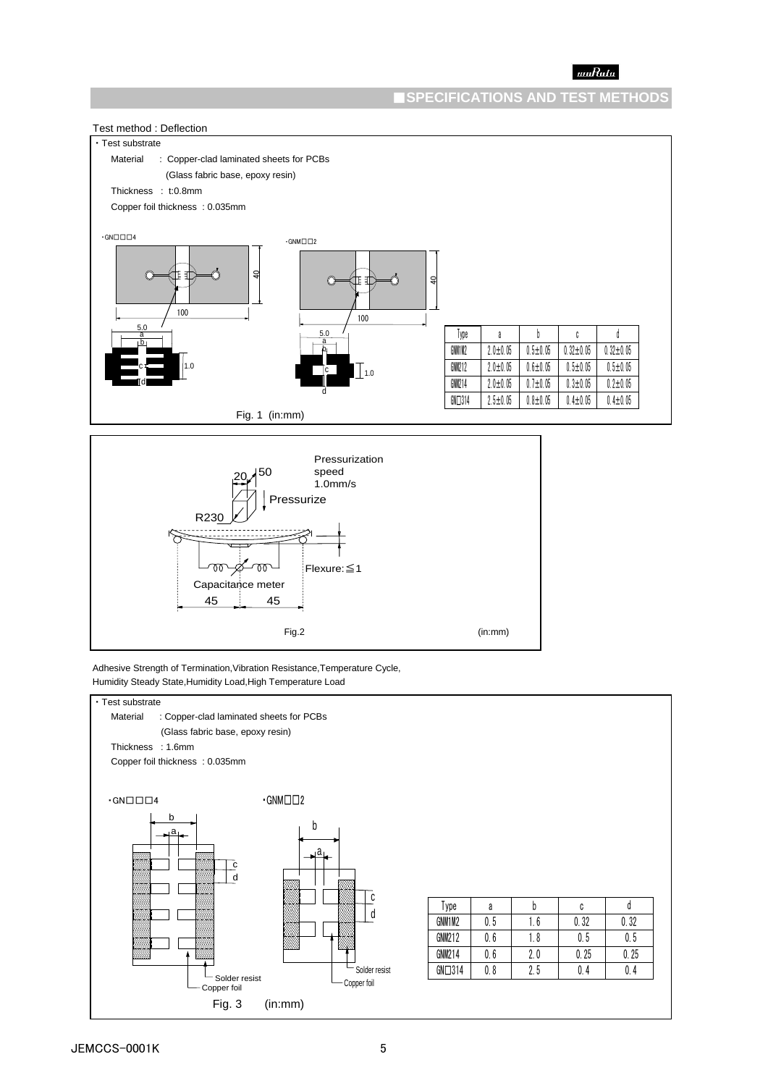### ■**SPECIFICATIONS AND TEST METHODS**





Adhesive Strength of Termination,Vibration Resistance,Temperature Cycle, Humidity Steady State,Humidity Load,High Temperature Load

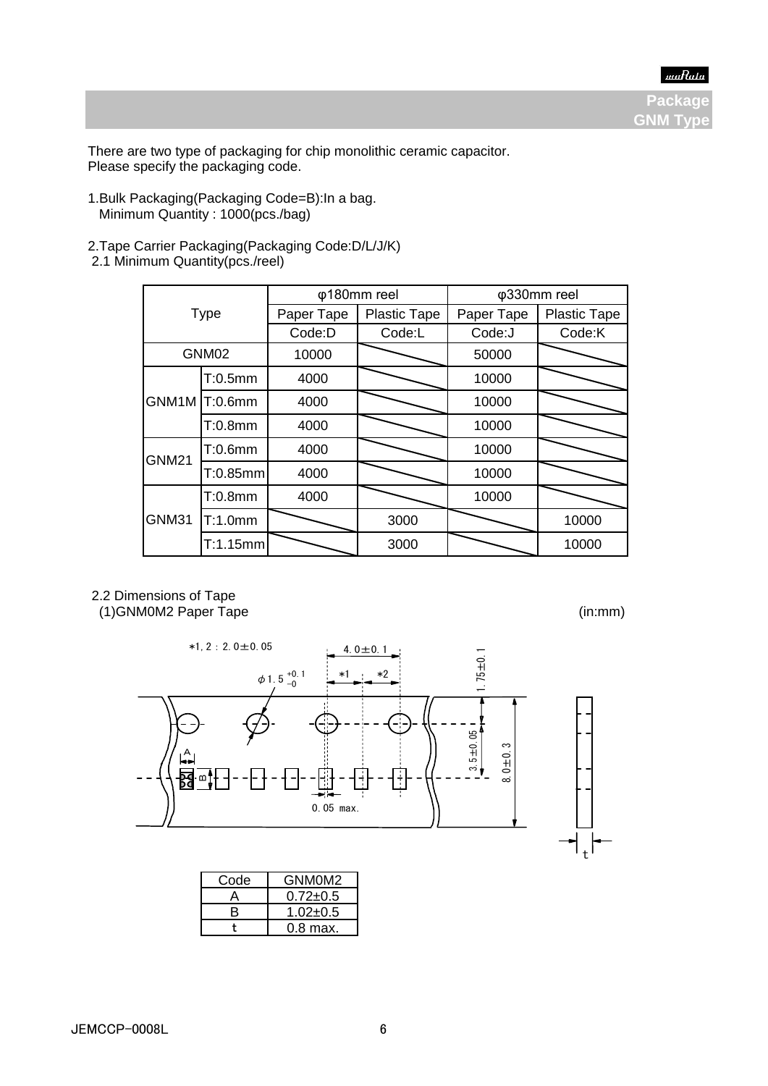**Packag GNM Tvp** 

There are two type of packaging for chip monolithic ceramic capacitor. Please specify the packaging code.

- 1.Bulk Packaging(Packaging Code=B):In a bag. Minimum Quantity : 1000(pcs./bag)
- 2.Tape Carrier Packaging(Packaging Code:D/L/J/K) 2.1 Minimum Quantity(pcs./reel)

| <b>Type</b>  |               |            | φ180mm reel         | φ330mm reel |                     |  |
|--------------|---------------|------------|---------------------|-------------|---------------------|--|
|              |               | Paper Tape | <b>Plastic Tape</b> | Paper Tape  | <b>Plastic Tape</b> |  |
|              |               | Code:D     | Code:L              | Code:J      | Code:K              |  |
|              | GNM02         | 10000      |                     | 50000       |                     |  |
|              | T:0.5mm       | 4000       |                     | 10000       |                     |  |
|              | GNM1M T:0.6mm | 4000       |                     | 10000       |                     |  |
|              | $T:0.8$ mm    | 4000       |                     | 10000       |                     |  |
| <b>GNM21</b> | $T:0.6$ mm    | 4000       |                     | 10000       |                     |  |
|              | T:0.85mm      | 4000       |                     | 10000       |                     |  |
|              | T:0.8mm       | 4000       |                     | 10000       |                     |  |
| GNM31        | T:1.0mm       |            | 3000                |             | 10000               |  |
|              | T:1.15mm      |            | 3000                |             | 10000               |  |

 2.2 Dimensions of Tape (1)GNM0M2 Paper Tape (in:mm)



| Code | GNM0M2         |
|------|----------------|
|      | $0.72{\pm}0.5$ |
| R    | $1.02 + 0.5$   |
|      | $0.8$ max.     |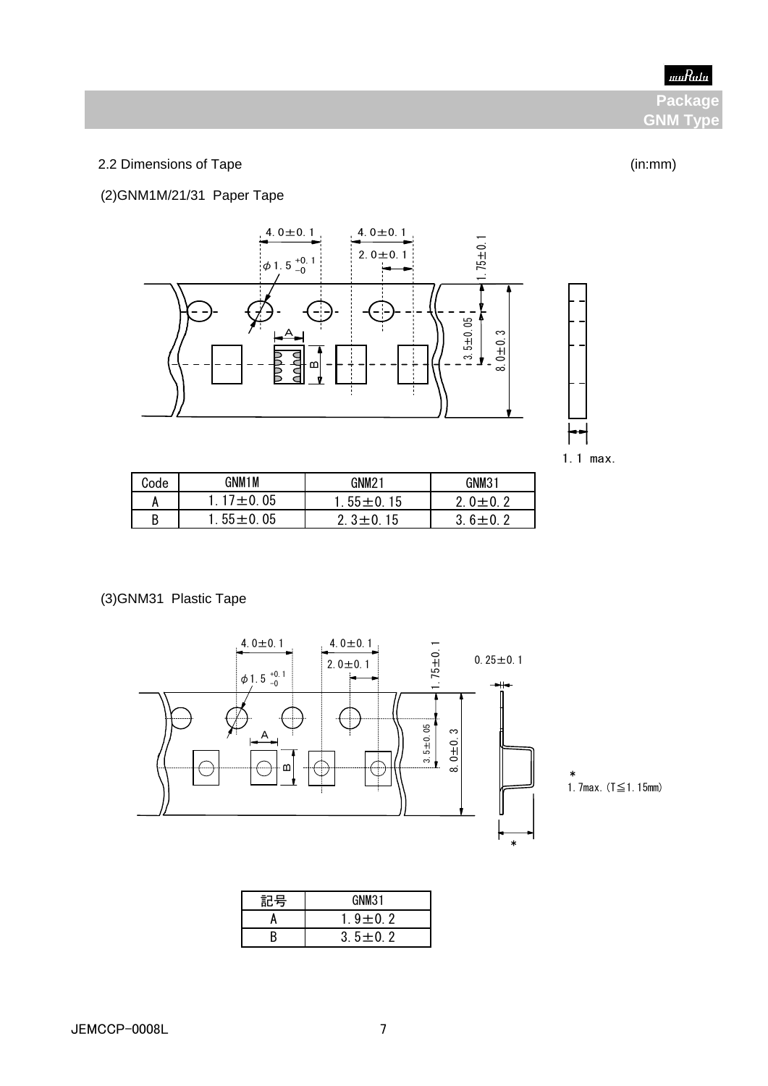**Packag GNM Typ** 

# 2.2 Dimensions of Tape (in:mm)

# (2)GNM1M/21/31 Paper Tape



1.1 max.

| Code | GNM1M          | GNM2              | GNM31   |
|------|----------------|-------------------|---------|
| A    | 05<br>$17 + 0$ | $55 \pm 0$<br>15. | റ       |
| B    | 05<br>$55 + 0$ | 15<br>3 + U       | ς.<br>n |

(3)GNM31 Plastic Tape



\*<br>1. 7max. (T≦1. 15mm)

\*

| 記号 | GNM31         |  |  |
|----|---------------|--|--|
|    | $9 \pm 0.2$   |  |  |
|    | $3.5 \pm 0.2$ |  |  |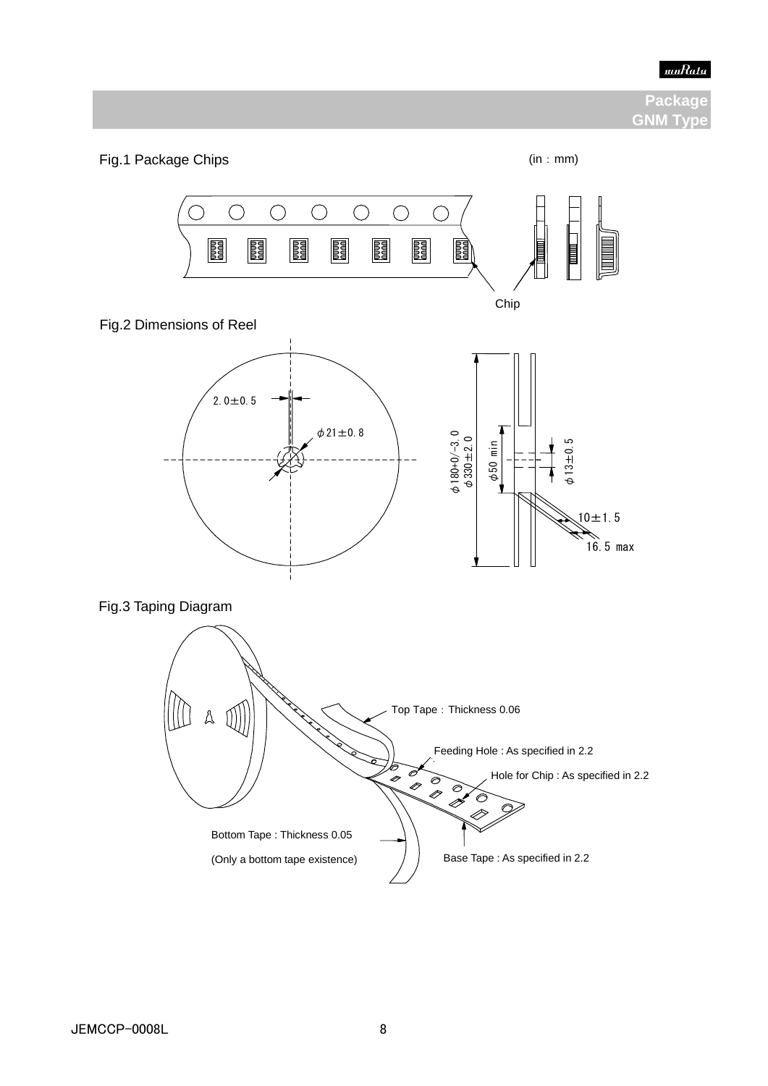

# **Package GNM Type**

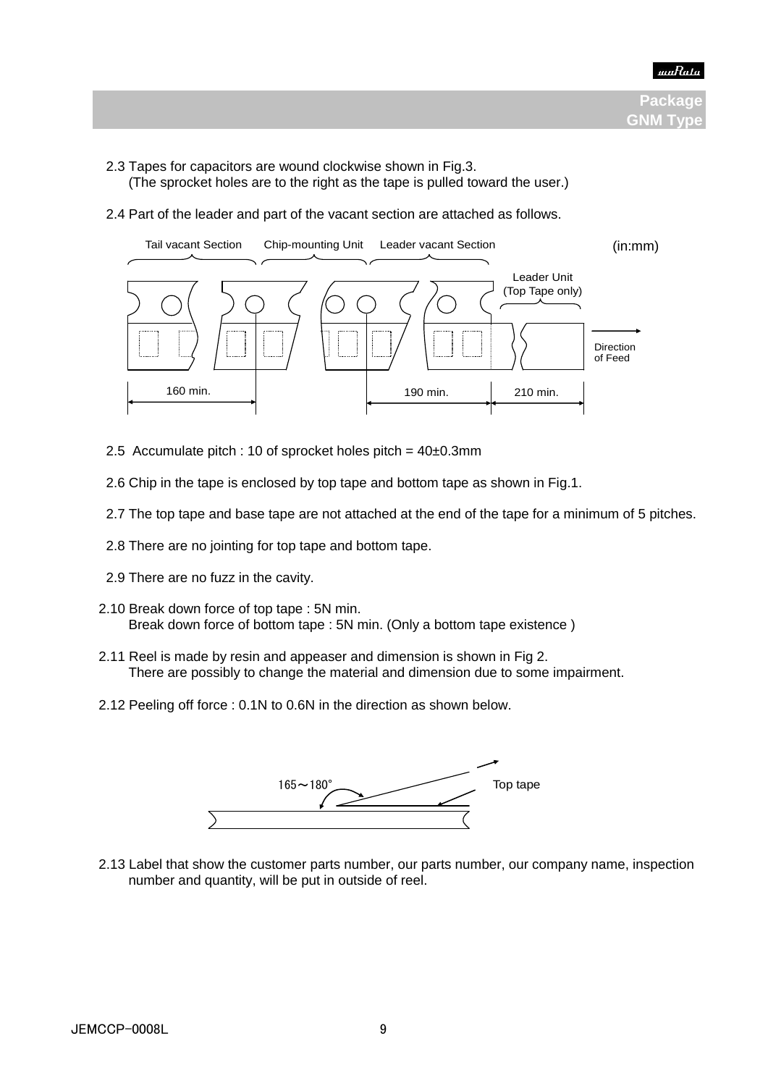

- 2.3 Tapes for capacitors are wound clockwise shown in Fig.3.
	- (The sprocket holes are to the right as the tape is pulled toward the user.)
- 2.4 Part of the leader and part of the vacant section are attached as follows.



- 2.5 Accumulate pitch : 10 of sprocket holes pitch =  $40\pm0.3$ mm
- 2.6 Chip in the tape is enclosed by top tape and bottom tape as shown in Fig.1.
- 2.7 The top tape and base tape are not attached at the end of the tape for a minimum of 5 pitches.
- 2.8 There are no jointing for top tape and bottom tape.
- 2.9 There are no fuzz in the cavity.
- 2.10 Break down force of top tape : 5N min. Break down force of bottom tape : 5N min. (Only a bottom tape existence )
- 2.11 Reel is made by resin and appeaser and dimension is shown in Fig 2. There are possibly to change the material and dimension due to some impairment.
	- 2.12 Peeling off force : 0.1N to 0.6N in the direction as shown below.



 2.13 Label that show the customer parts number, our parts number, our company name, inspection number and quantity, will be put in outside of reel.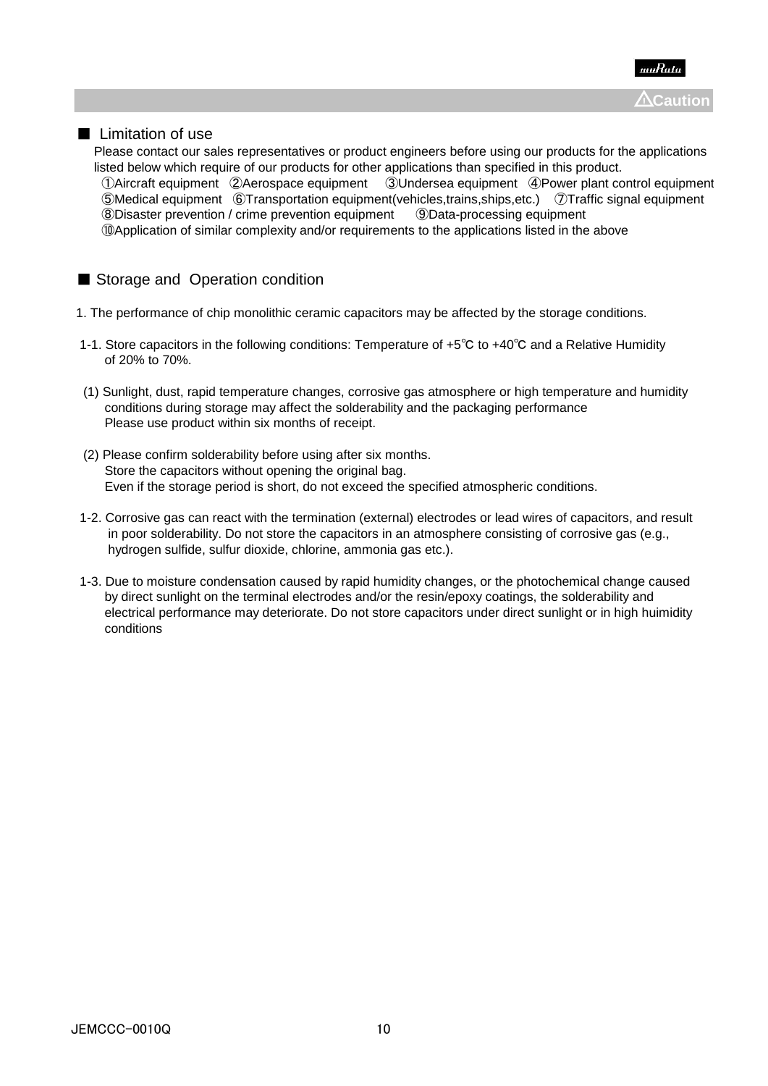

# ■ Limitation of use

 Please contact our sales representatives or product engineers before using our products for the applications listed below which require of our products for other applications than specified in this product. ①Aircraft equipment ②Aerospace equipment ③Undersea equipment ④Power plant control equipment ⑤Medical equipment ⑥Transportation equipment(vehicles,trains,ships,etc.) ⑦Traffic signal equipment ⑧Disaster prevention / crime prevention equipment ⑨Data-processing equipment ⑩Application of similar complexity and/or requirements to the applications listed in the above

# ■ Storage and Operation condition

- 1. The performance of chip monolithic ceramic capacitors may be affected by the storage conditions.
- 1-1. Store capacitors in the following conditions: Temperature of +5℃ to +40℃ and a Relative Humidity of 20% to 70%.
- (1) Sunlight, dust, rapid temperature changes, corrosive gas atmosphere or high temperature and humidity conditions during storage may affect the solderability and the packaging performance Please use product within six months of receipt.
- (2) Please confirm solderability before using after six months. Store the capacitors without opening the original bag. Even if the storage period is short, do not exceed the specified atmospheric conditions.
- 1-2. Corrosive gas can react with the termination (external) electrodes or lead wires of capacitors, and result in poor solderability. Do not store the capacitors in an atmosphere consisting of corrosive gas (e.g., hydrogen sulfide, sulfur dioxide, chlorine, ammonia gas etc.).
- 1-3. Due to moisture condensation caused by rapid humidity changes, or the photochemical change caused by direct sunlight on the terminal electrodes and/or the resin/epoxy coatings, the solderability and electrical performance may deteriorate. Do not store capacitors under direct sunlight or in high huimidity conditions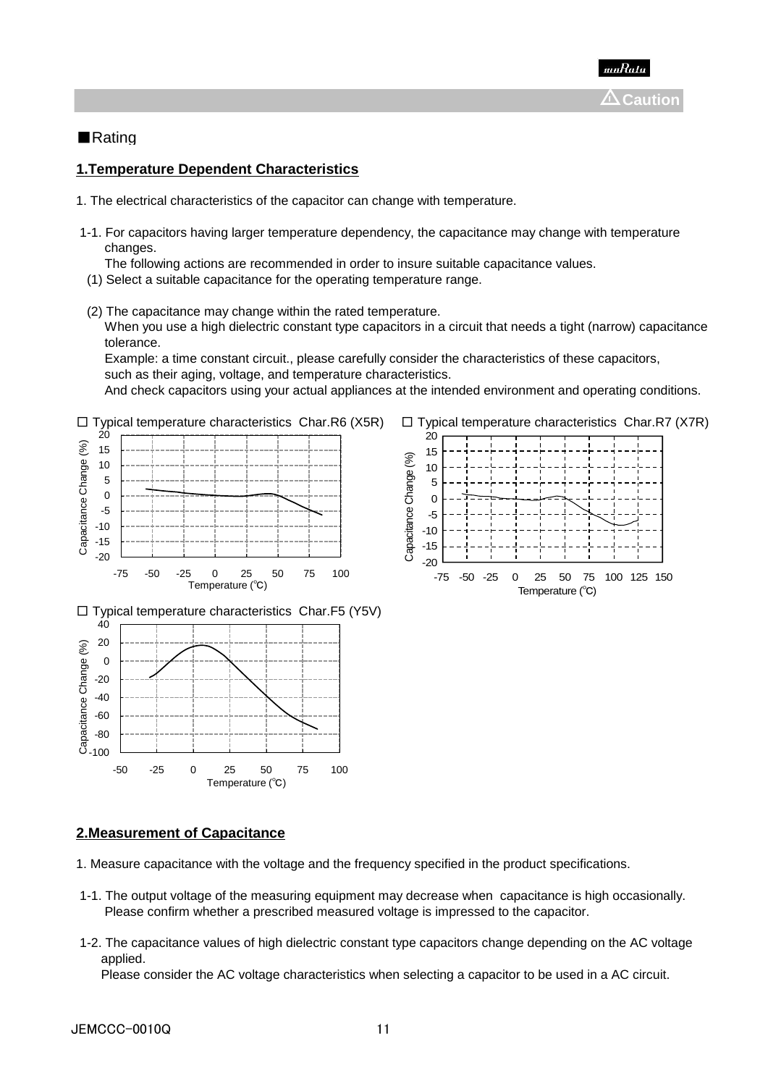

# ■Rating

## **1.Temperature Dependent Characteristics**

- 1. The electrical characteristics of the capacitor can change with temperature.
- 1-1. For capacitors having larger temperature dependency, the capacitance may change with temperature changes.
	- The following actions are recommended in order to insure suitable capacitance values.
- (1) Select a suitable capacitance for the operating temperature range.
- (2) The capacitance may change within the rated temperature. When you use a high dielectric constant type capacitors in a circuit that needs a tight (narrow) capacitance tolerance.

 Example: a time constant circuit., please carefully consider the characteristics of these capacitors, such as their aging, voltage, and temperature characteristics.

And check capacitors using your actual appliances at the intended environment and operating conditions.





#### **2.Measurement of Capacitance**

- 1. Measure capacitance with the voltage and the frequency specified in the product specifications.
- 1-1. The output voltage of the measuring equipment may decrease when capacitance is high occasionally. Please confirm whether a prescribed measured voltage is impressed to the capacitor.
- 1-2. The capacitance values of high dielectric constant type capacitors change depending on the AC voltage applied.

Please consider the AC voltage characteristics when selecting a capacitor to be used in a AC circuit.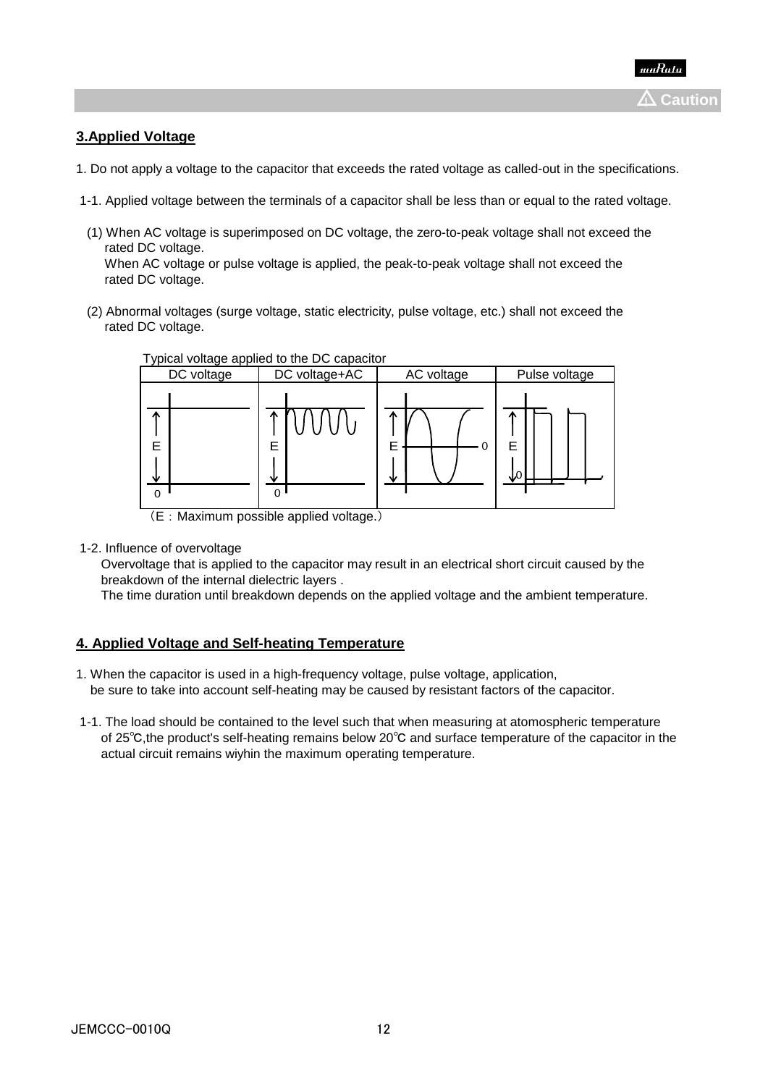# **3.Applied Voltage**

- 1. Do not apply a voltage to the capacitor that exceeds the rated voltage as called-out in the specifications.
- 1-1. Applied voltage between the terminals of a capacitor shall be less than or equal to the rated voltage.
- (1) When AC voltage is superimposed on DC voltage, the zero-to-peak voltage shall not exceed the rated DC voltage. When AC voltage or pulse voltage is applied, the peak-to-peak voltage shall not exceed the rated DC voltage.
- (2) Abnormal voltages (surge voltage, static electricity, pulse voltage, etc.) shall not exceed the rated DC voltage.



1-2. Influence of overvoltage

 Overvoltage that is applied to the capacitor may result in an electrical short circuit caused by the breakdown of the internal dielectric layers .

The time duration until breakdown depends on the applied voltage and the ambient temperature.

#### **4. Applied Voltage and Self-heating Temperature**

- 1. When the capacitor is used in a high-frequency voltage, pulse voltage, application, be sure to take into account self-heating may be caused by resistant factors of the capacitor.
- 1-1. The load should be contained to the level such that when measuring at atomospheric temperature of 25℃,the product's self-heating remains below 20℃ and surface temperature of the capacitor in the actual circuit remains wiyhin the maximum operating temperature.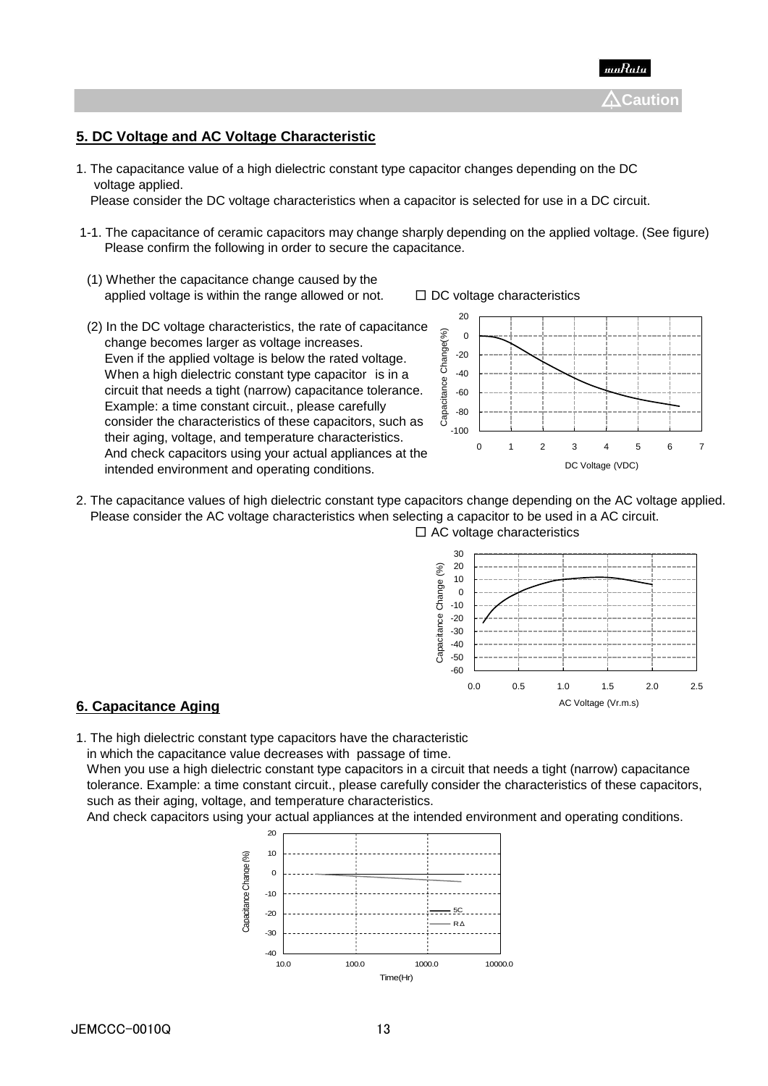

# **5. DC Voltage and AC Voltage Characteristic**

1. The capacitance value of a high dielectric constant type capacitor changes depending on the DC voltage applied.

Please consider the DC voltage characteristics when a capacitor is selected for use in a DC circuit.

- 1-1. The capacitance of ceramic capacitors may change sharply depending on the applied voltage. (See figure) Please confirm the following in order to secure the capacitance.
- (1) Whether the capacitance change caused by the applied voltage is within the range allowed or not.  $□$  DC voltage characteristics
- (2) In the DC voltage characteristics, the rate of capacitance change becomes larger as voltage increases. Even if the applied voltage is below the rated voltage. When a high dielectric constant type capacitor is in a circuit that needs a tight (narrow) capacitance tolerance. Example: a time constant circuit., please carefully consider the characteristics of these capacitors, such as their aging, voltage, and temperature characteristics. And check capacitors using your actual appliances at the intended environment and operating conditions.





2. The capacitance values of high dielectric constant type capacitors change depending on the AC voltage applied. Please consider the AC voltage characteristics when selecting a capacitor to be used in a AC circuit.  $\square$  AC voltage characteristics



#### **6. Capacitance Aging**

1. The high dielectric constant type capacitors have the characteristic

in which the capacitance value decreases with passage of time.

 When you use a high dielectric constant type capacitors in a circuit that needs a tight (narrow) capacitance tolerance. Example: a time constant circuit., please carefully consider the characteristics of these capacitors, such as their aging, voltage, and temperature characteristics.

And check capacitors using your actual appliances at the intended environment and operating conditions.

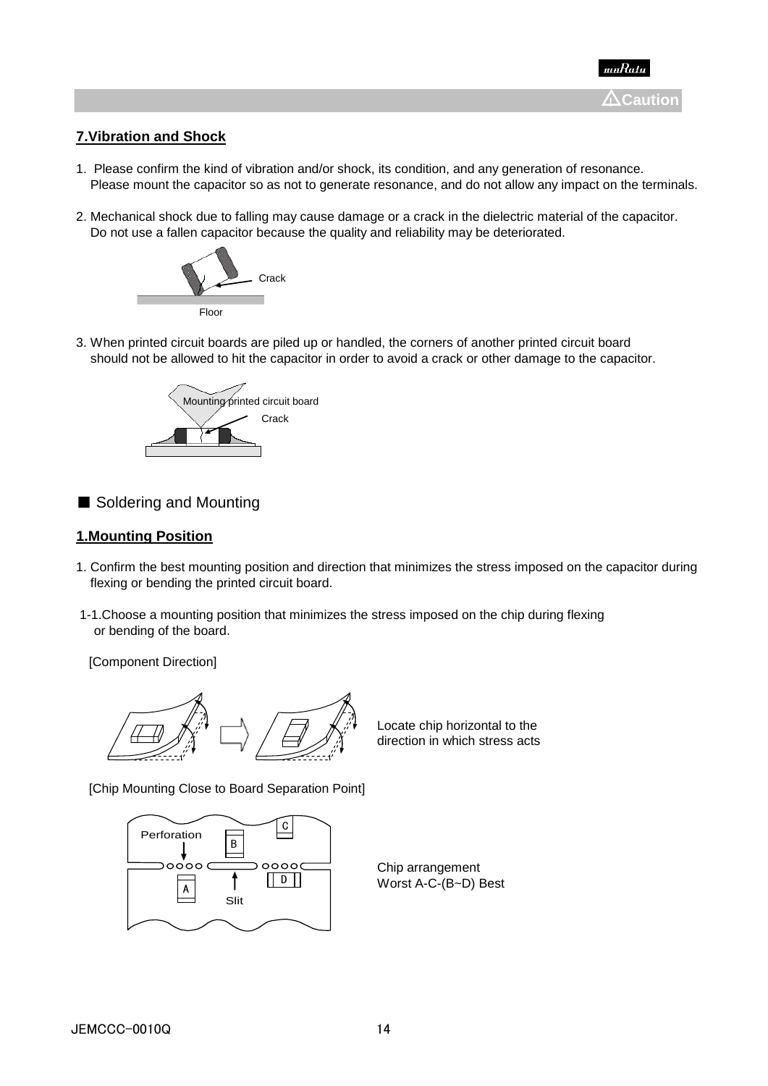

# **7.Vibration and Shock**

- 1. Please confirm the kind of vibration and/or shock, its condition, and any generation of resonance. Please mount the capacitor so as not to generate resonance, and do not allow any impact on the terminals.
- 2. Mechanical shock due to falling may cause damage or a crack in the dielectric material of the capacitor. Do not use a fallen capacitor because the quality and reliability may be deteriorated.



3. When printed circuit boards are piled up or handled, the corners of another printed circuit board should not be allowed to hit the capacitor in order to avoid a crack or other damage to the capacitor.



■ Soldering and Mounting

#### **1.Mounting Position**

- 1. Confirm the best mounting position and direction that minimizes the stress imposed on the capacitor during flexing or bending the printed circuit board.
- 1-1.Choose a mounting position that minimizes the stress imposed on the chip during flexing or bending of the board.

[Component Direction]



Locate chip horizontal to the direction in which stress acts

[Chip Mounting Close to Board Separation Point]



Chip arrangement Worst A-C-(B~D) Best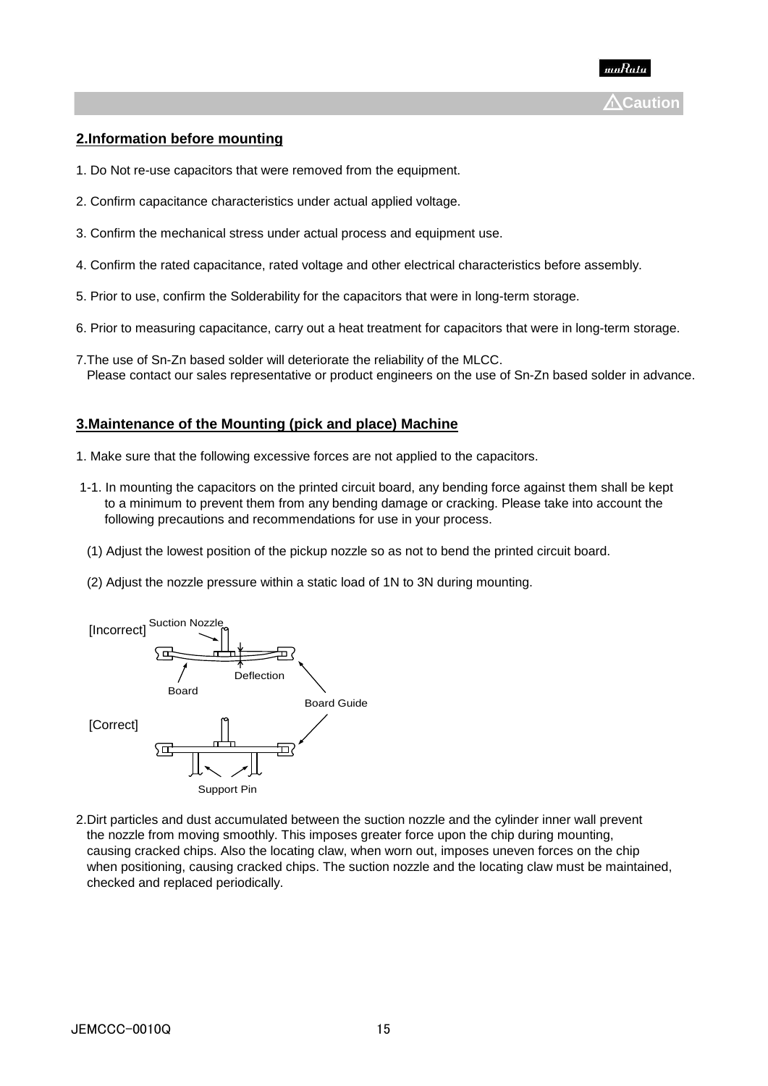

# **2.Information before mounting**

- 1. Do Not re-use capacitors that were removed from the equipment.
- 2. Confirm capacitance characteristics under actual applied voltage.
- 3. Confirm the mechanical stress under actual process and equipment use.
- 4. Confirm the rated capacitance, rated voltage and other electrical characteristics before assembly.
- 5. Prior to use, confirm the Solderability for the capacitors that were in long-term storage.
- 6. Prior to measuring capacitance, carry out a heat treatment for capacitors that were in long-term storage.
- 7.The use of Sn-Zn based solder will deteriorate the reliability of the MLCC. Please contact our sales representative or product engineers on the use of Sn-Zn based solder in advance.

### **3.Maintenance of the Mounting (pick and place) Machine**

- 1. Make sure that the following excessive forces are not applied to the capacitors.
- 1-1. In mounting the capacitors on the printed circuit board, any bending force against them shall be kept to a minimum to prevent them from any bending damage or cracking. Please take into account the following precautions and recommendations for use in your process.
- (1) Adjust the lowest position of the pickup nozzle so as not to bend the printed circuit board.
- (2) Adjust the nozzle pressure within a static load of 1N to 3N during mounting.



2.Dirt particles and dust accumulated between the suction nozzle and the cylinder inner wall prevent the nozzle from moving smoothly. This imposes greater force upon the chip during mounting, causing cracked chips. Also the locating claw, when worn out, imposes uneven forces on the chip when positioning, causing cracked chips. The suction nozzle and the locating claw must be maintained, checked and replaced periodically.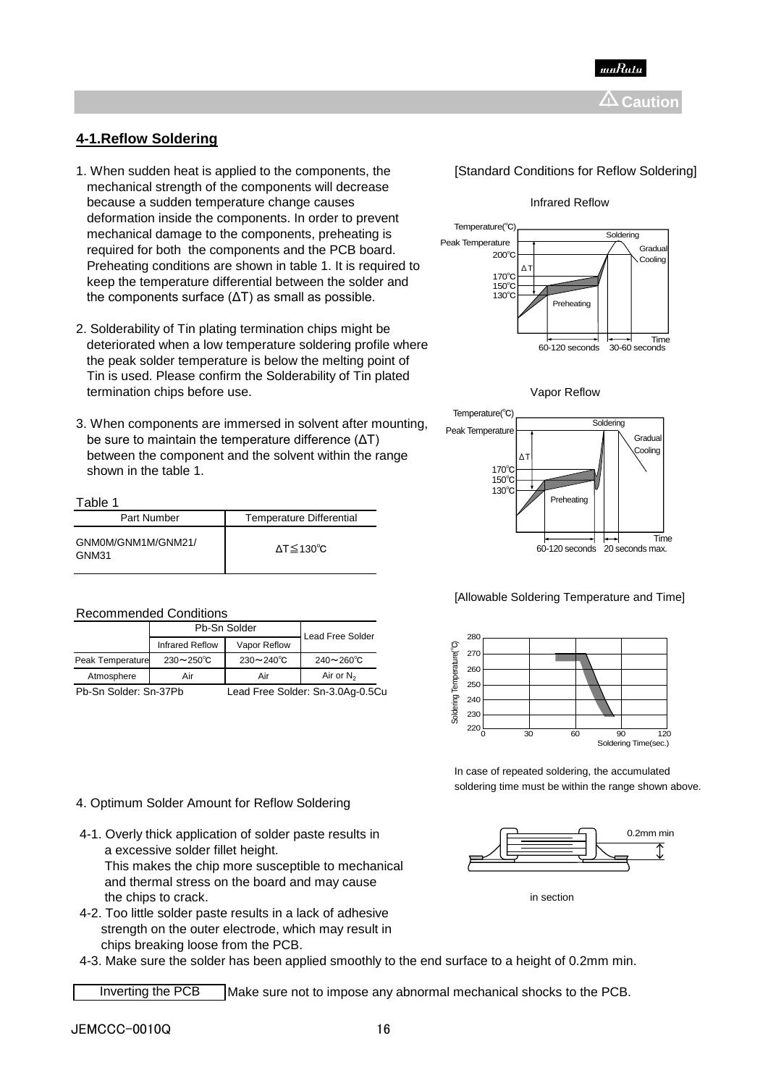

# **4-1.Reflow Soldering**

- 1. When sudden heat is applied to the components, the **[Standard Conditions for Reflow Soldering**] mechanical strength of the components will decrease because a sudden temperature change causes **Infrared Reflow** Infrared Reflow deformation inside the components. In order to prevent mechanical damage to the components, preheating is required for both the components and the PCB board. Preheating conditions are shown in table 1. It is required to keep the temperature differential between the solder and the components surface (ΔT) as small as possible.
- 2. Solderability of Tin plating termination chips might be deteriorated when a low temperature soldering profile where the peak solder temperature is below the melting point of Tin is used. Please confirm the Solderability of Tin plated termination chips before use. Vapor Reflow
- 3. When components are immersed in solvent after mounting, be sure to maintain the temperature difference (ΔT) between the component and the solvent within the range shown in the table 1.

#### Table 1

| Part Number                 | <b>Temperature Differential</b> |
|-----------------------------|---------------------------------|
| GNM0M/GNM1M/GNM21/<br>GNM31 | $\Delta T \leq 130^{\circ}C$    |

#### Recommended Conditions

|                   | Pb-Sn Solder            | Lead Free Solder     |                                                                                                                                     |
|-------------------|-------------------------|----------------------|-------------------------------------------------------------------------------------------------------------------------------------|
|                   | Infrared Reflow         | Vapor Reflow         |                                                                                                                                     |
| Peak Temperature  | $230 \sim 250^{\circ}C$ | $230 - 240^{\circ}C$ | $240 - 260^{\circ}C$                                                                                                                |
| Atmosphere        | Air                     | Air                  | Air or $N_2$                                                                                                                        |
| $DEC = C + C + L$ |                         |                      | $1 - 1$ $\Gamma_{\text{max}}$ $\Omega_{\text{max}}$ $\Omega_{\text{max}}$ $\Omega$ $\Omega_{\text{max}}$ $\Omega$ $\Gamma$ $\Omega$ |

4. Optimum Solder Amount for Reflow Soldering

a excessive solder fillet height.

4-1. Overly thick application of solder paste results in







#### [Allowable Soldering Temperature and Time]



In case of repeated soldering, the accumulated soldering time must be within the range shown above.



the chips to crack. **imaging the chips to crack.** in section

 4-2. Too little solder paste results in a lack of adhesive strength on the outer electrode, which may result in chips breaking loose from the PCB.

 This makes the chip more susceptible to mechanical and thermal stress on the board and may cause

4-3. Make sure the solder has been applied smoothly to the end surface to a height of 0.2mm min.

Make sure not to impose any abnormal mechanical shocks to the PCB. Inverting the PCB

Pb-Sn Solder: Sn-37Pb Lead Free Solder: Sn-3.0Ag-0.5Cu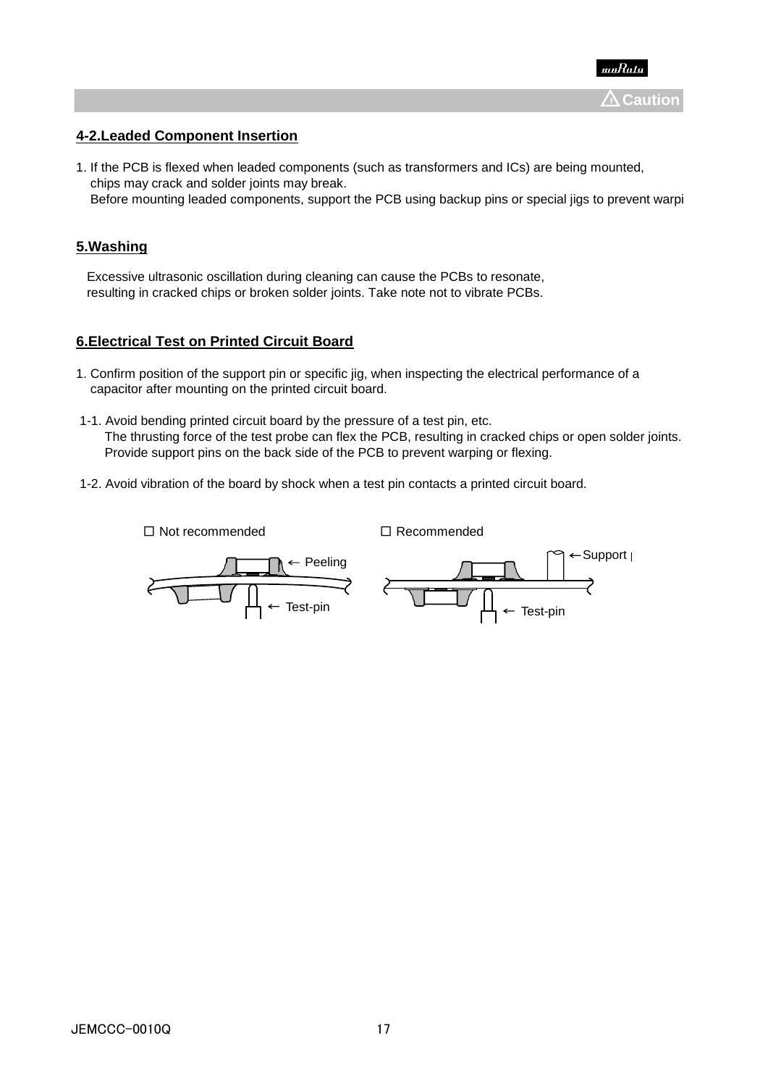

# **4-2.Leaded Component Insertion**

1. If the PCB is flexed when leaded components (such as transformers and ICs) are being mounted, chips may crack and solder joints may break.

## Before mounting leaded components, support the PCB using backup pins or special jigs to prevent warping.

# **5.Washing**

Excessive ultrasonic oscillation during cleaning can cause the PCBs to resonate, resulting in cracked chips or broken solder joints. Take note not to vibrate PCBs.

## **6.Electrical Test on Printed Circuit Board**

- 1. Confirm position of the support pin or specific jig, when inspecting the electrical performance of a capacitor after mounting on the printed circuit board.
- 1-1. Avoid bending printed circuit board by the pressure of a test pin, etc. The thrusting force of the test probe can flex the PCB, resulting in cracked chips or open solder joints. Provide support pins on the back side of the PCB to prevent warping or flexing.
- 1-2. Avoid vibration of the board by shock when a test pin contacts a printed circuit board.

□ Not recommended □ Recommended

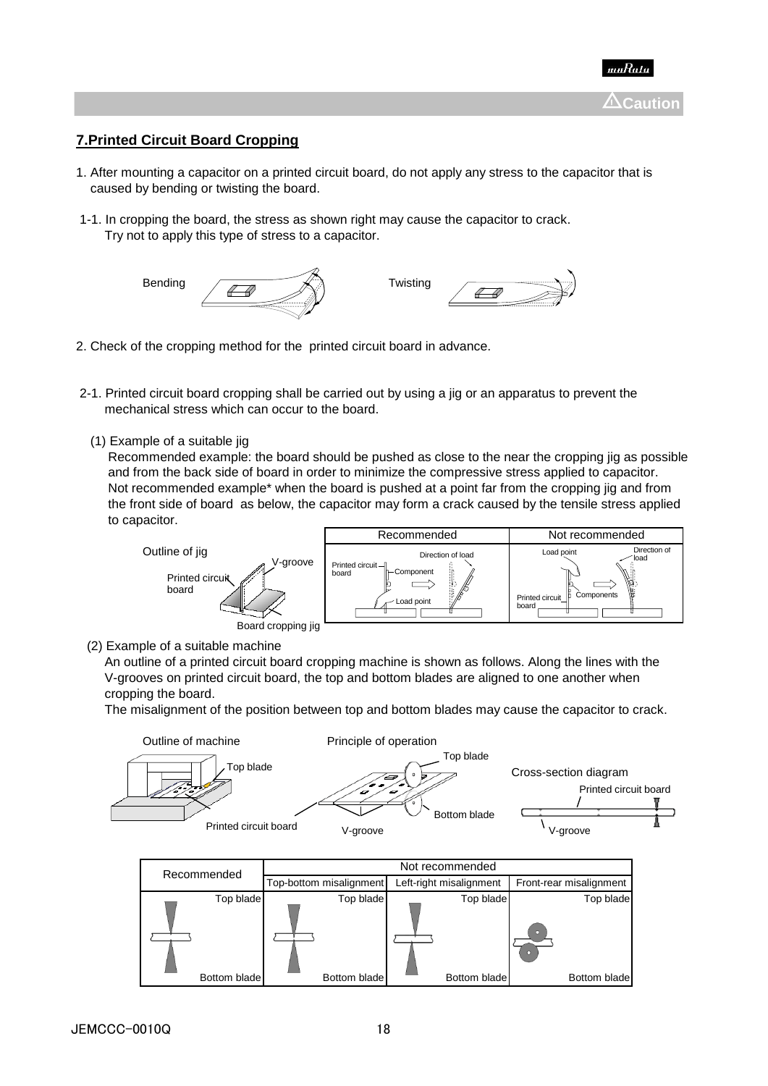

# **7.Printed Circuit Board Cropping**

- 1. After mounting a capacitor on a printed circuit board, do not apply any stress to the capacitor that is caused by bending or twisting the board.
- 1-1. In cropping the board, the stress as shown right may cause the capacitor to crack. Try not to apply this type of stress to a capacitor.



- 2. Check of the cropping method for the printed circuit board in advance.
- 2-1. Printed circuit board cropping shall be carried out by using a jig or an apparatus to prevent the mechanical stress which can occur to the board.
	- (1) Example of a suitable jig

 Recommended example: the board should be pushed as close to the near the cropping jig as possible and from the back side of board in order to minimize the compressive stress applied to capacitor. Not recommended example<sup>\*</sup> when the board is pushed at a point far from the cropping ijg and from the front side of board as below, the capacitor may form a crack caused by the tensile stress applied to capacitor.



(2) Example of a suitable machine

 An outline of a printed circuit board cropping machine is shown as follows. Along the lines with the V-grooves on printed circuit board, the top and bottom blades are aligned to one another when cropping the board.

The misalignment of the position between top and bottom blades may cause the capacitor to crack.



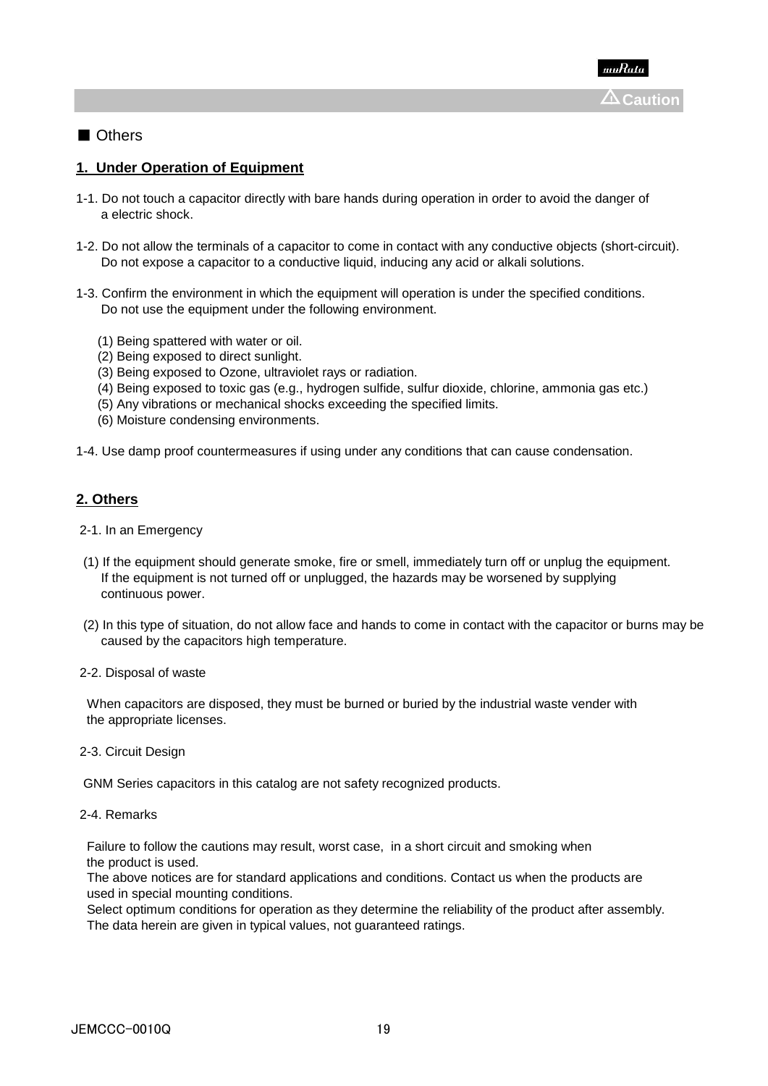# ■ Others

# **1. Under Operation of Equipment**

- 1-1. Do not touch a capacitor directly with bare hands during operation in order to avoid the danger of a electric shock.
- 1-2. Do not allow the terminals of a capacitor to come in contact with any conductive objects (short-circuit). Do not expose a capacitor to a conductive liquid, inducing any acid or alkali solutions.
- 1-3. Confirm the environment in which the equipment will operation is under the specified conditions. Do not use the equipment under the following environment.
	- (1) Being spattered with water or oil.
	- (2) Being exposed to direct sunlight.
	- (3) Being exposed to Ozone, ultraviolet rays or radiation.
	- (4) Being exposed to toxic gas (e.g., hydrogen sulfide, sulfur dioxide, chlorine, ammonia gas etc.)
	- (5) Any vibrations or mechanical shocks exceeding the specified limits.
	- (6) Moisture condensing environments.

1-4. Use damp proof countermeasures if using under any conditions that can cause condensation.

## **2. Others**

- 2-1. In an Emergency
- (1) If the equipment should generate smoke, fire or smell, immediately turn off or unplug the equipment. If the equipment is not turned off or unplugged, the hazards may be worsened by supplying continuous power.
- (2) In this type of situation, do not allow face and hands to come in contact with the capacitor or burns may be caused by the capacitors high temperature.

2-2. Disposal of waste

 When capacitors are disposed, they must be burned or buried by the industrial waste vender with the appropriate licenses.

2-3. Circuit Design

GNM Series capacitors in this catalog are not safety recognized products.

2-4. Remarks

 Failure to follow the cautions may result, worst case, in a short circuit and smoking when the product is used.

 The above notices are for standard applications and conditions. Contact us when the products are used in special mounting conditions.

 Select optimum conditions for operation as they determine the reliability of the product after assembly. The data herein are given in typical values, not guaranteed ratings.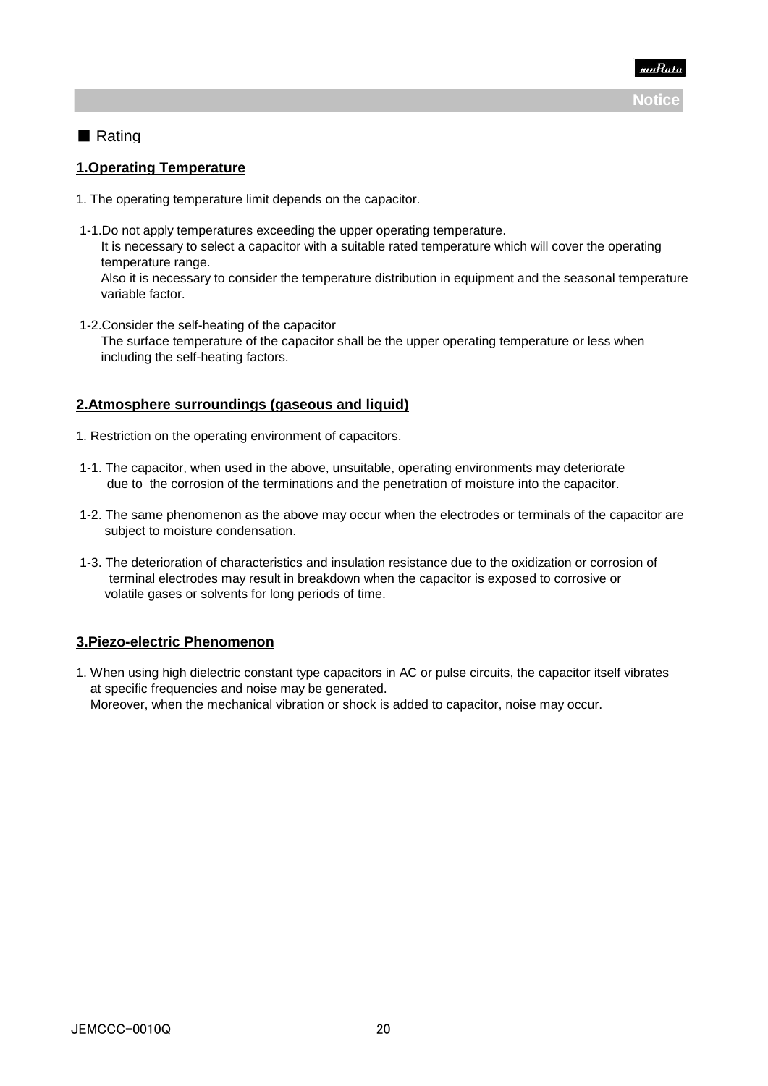

# ■ Rating

# **1.Operating Temperature**

- 1. The operating temperature limit depends on the capacitor.
- 1-1.Do not apply temperatures exceeding the upper operating temperature. It is necessary to select a capacitor with a suitable rated temperature which will cover the operating temperature range. Also it is necessary to consider the temperature distribution in equipment and the seasonal temperature variable factor.
- 1-2.Consider the self-heating of the capacitor The surface temperature of the capacitor shall be the upper operating temperature or less when including the self-heating factors.

# **2.Atmosphere surroundings (gaseous and liquid)**

- 1. Restriction on the operating environment of capacitors.
- 1-1. The capacitor, when used in the above, unsuitable, operating environments may deteriorate due to the corrosion of the terminations and the penetration of moisture into the capacitor.
- 1-2. The same phenomenon as the above may occur when the electrodes or terminals of the capacitor are subject to moisture condensation.
- 1-3. The deterioration of characteristics and insulation resistance due to the oxidization or corrosion of terminal electrodes may result in breakdown when the capacitor is exposed to corrosive or volatile gases or solvents for long periods of time.

# **3.Piezo-electric Phenomenon**

1. When using high dielectric constant type capacitors in AC or pulse circuits, the capacitor itself vibrates at specific frequencies and noise may be generated. Moreover, when the mechanical vibration or shock is added to capacitor, noise may occur.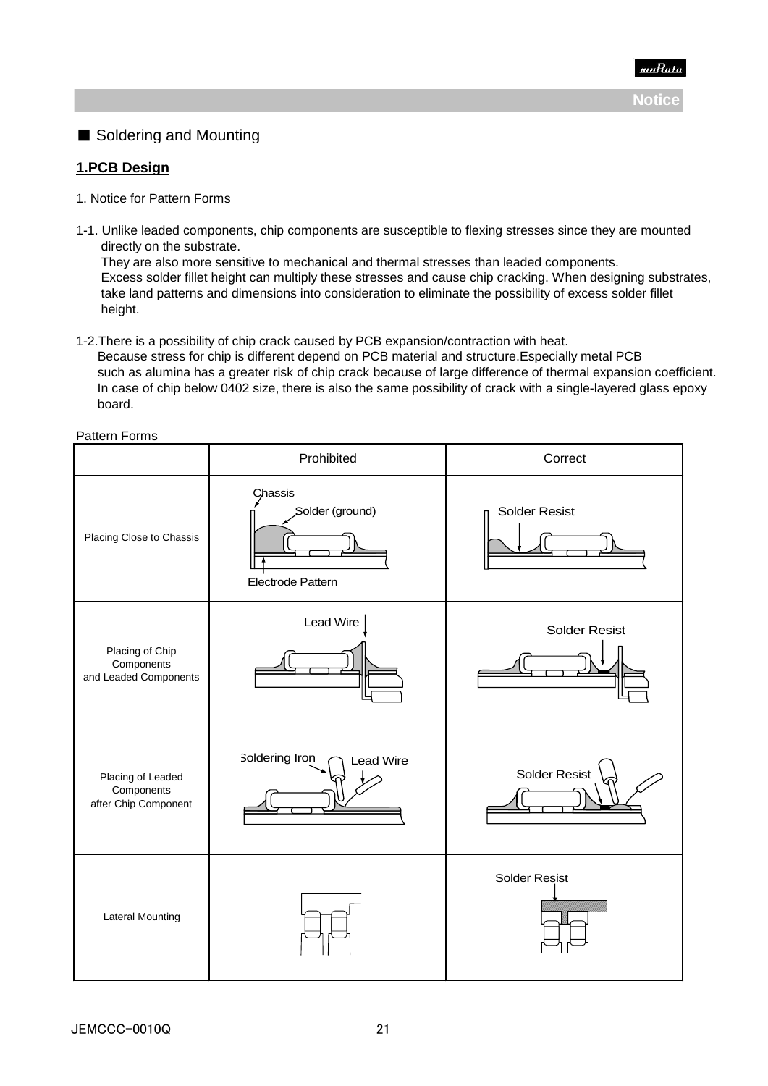

# ■ Soldering and Mounting

# **1.PCB Design**

- 1. Notice for Pattern Forms
- 1-1. Unlike leaded components, chip components are susceptible to flexing stresses since they are mounted directly on the substrate.

 They are also more sensitive to mechanical and thermal stresses than leaded components. Excess solder fillet height can multiply these stresses and cause chip cracking. When designing substrates, take land patterns and dimensions into consideration to eliminate the possibility of excess solder fillet height.

1-2.There is a possibility of chip crack caused by PCB expansion/contraction with heat.

 Because stress for chip is different depend on PCB material and structure.Especially metal PCB such as alumina has a greater risk of chip crack because of large difference of thermal expansion coefficient. In case of chip below 0402 size, there is also the same possibility of crack with a single-layered glass epoxy board.

Pattern Forms

|                                                         | Prohibited                                      | Correct              |  |
|---------------------------------------------------------|-------------------------------------------------|----------------------|--|
| Placing Close to Chassis                                | Chassis<br>Solder (ground)<br>Electrode Pattern | <b>Solder Resist</b> |  |
| Placing of Chip<br>Components<br>and Leaded Components  | Lead Wire                                       | <b>Solder Resist</b> |  |
| Placing of Leaded<br>Components<br>after Chip Component | Soldering Iron<br>Lead Wire                     | Solder Resist        |  |
| <b>Lateral Mounting</b>                                 |                                                 | <b>Solder Resist</b> |  |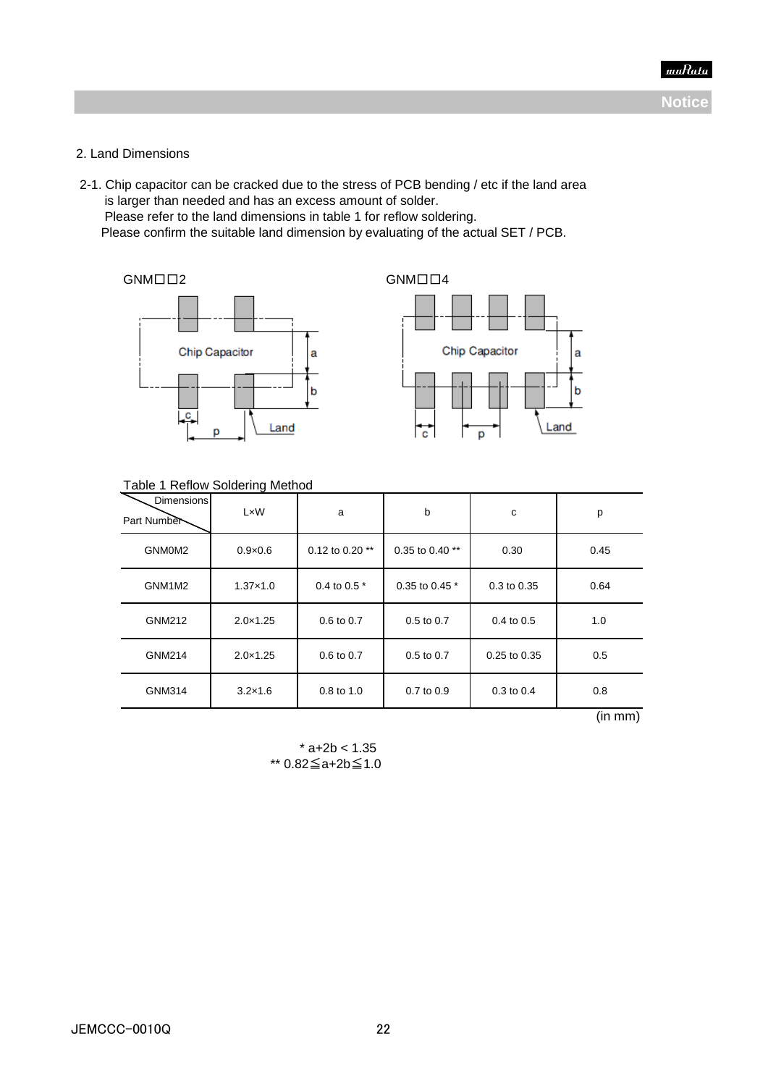

## 2. Land Dimensions

 2-1. Chip capacitor can be cracked due to the stress of PCB bending / etc if the land area is larger than needed and has an excess amount of solder. Please refer to the land dimensions in table 1 for reflow soldering. Please confirm the suitable land dimension by evaluating of the actual SET / PCB.

GNM□□2 GNM□□4





#### Table 1 Reflow Soldering Method

| Dimensions<br>Part Number | LxW               | a                 | b               | c              | p    |
|---------------------------|-------------------|-------------------|-----------------|----------------|------|
| GNM0M2                    | $0.9\times0.6$    | 0.12 to 0.20 $**$ | 0.35 to 0.40 ** | 0.30           | 0.45 |
| GNM1M2                    | $1.37 \times 1.0$ | 0.4 to 0.5 $*$    | 0.35 to 0.45 *  | 0.3 to 0.35    | 0.64 |
| GNM212                    | $2.0 \times 1.25$ | $0.6$ to $0.7$    | $0.5$ to $0.7$  | $0.4$ to $0.5$ | 1.0  |
| GNM214                    | $2.0 \times 1.25$ | 0.6 to 0.7        | $0.5$ to $0.7$  | 0.25 to 0.35   | 0.5  |
| GNM314                    | $3.2\times1.6$    | 0.8 to 1.0        | $0.7$ to $0.9$  | $0.3$ to $0.4$ | 0.8  |

(in mm)

 $*$  a+2b < 1.35 \*\* 0.82≦a+2b≦1.0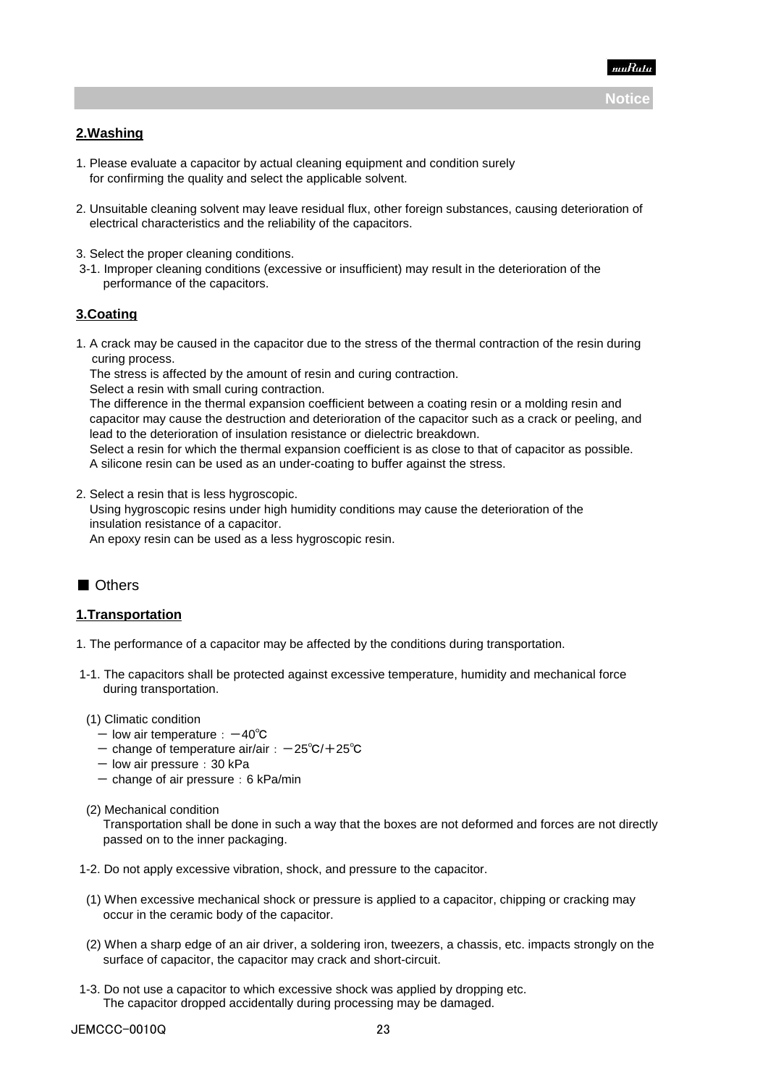

## **2.Washing**

- 1. Please evaluate a capacitor by actual cleaning equipment and condition surely for confirming the quality and select the applicable solvent.
- 2. Unsuitable cleaning solvent may leave residual flux, other foreign substances, causing deterioration of electrical characteristics and the reliability of the capacitors.
- 3. Select the proper cleaning conditions.
- 3-1. Improper cleaning conditions (excessive or insufficient) may result in the deterioration of the performance of the capacitors.

### **3.Coating**

1. A crack may be caused in the capacitor due to the stress of the thermal contraction of the resin during curing process.

The stress is affected by the amount of resin and curing contraction.

Select a resin with small curing contraction.

 The difference in the thermal expansion coefficient between a coating resin or a molding resin and capacitor may cause the destruction and deterioration of the capacitor such as a crack or peeling, and lead to the deterioration of insulation resistance or dielectric breakdown.

 Select a resin for which the thermal expansion coefficient is as close to that of capacitor as possible. A silicone resin can be used as an under-coating to buffer against the stress.

2. Select a resin that is less hygroscopic.

 Using hygroscopic resins under high humidity conditions may cause the deterioration of the insulation resistance of a capacitor.

An epoxy resin can be used as a less hygroscopic resin.

# ■ Others

#### **1.Transportation**

1. The performance of a capacitor may be affected by the conditions during transportation.

- 1-1. The capacitors shall be protected against excessive temperature, humidity and mechanical force during transportation.
- (1) Climatic condition
	- low air temperature:-40℃
	- change of temperature air/air: -25℃/+25℃
	- $-$  low air pressure: 30 kPa
	- $-$  change of air pressure: 6 kPa/min
- (2) Mechanical condition

 Transportation shall be done in such a way that the boxes are not deformed and forces are not directly passed on to the inner packaging.

1-2. Do not apply excessive vibration, shock, and pressure to the capacitor.

- (1) When excessive mechanical shock or pressure is applied to a capacitor, chipping or cracking may occur in the ceramic body of the capacitor.
- (2) When a sharp edge of an air driver, a soldering iron, tweezers, a chassis, etc. impacts strongly on the surface of capacitor, the capacitor may crack and short-circuit.
- 1-3. Do not use a capacitor to which excessive shock was applied by dropping etc. The capacitor dropped accidentally during processing may be damaged.